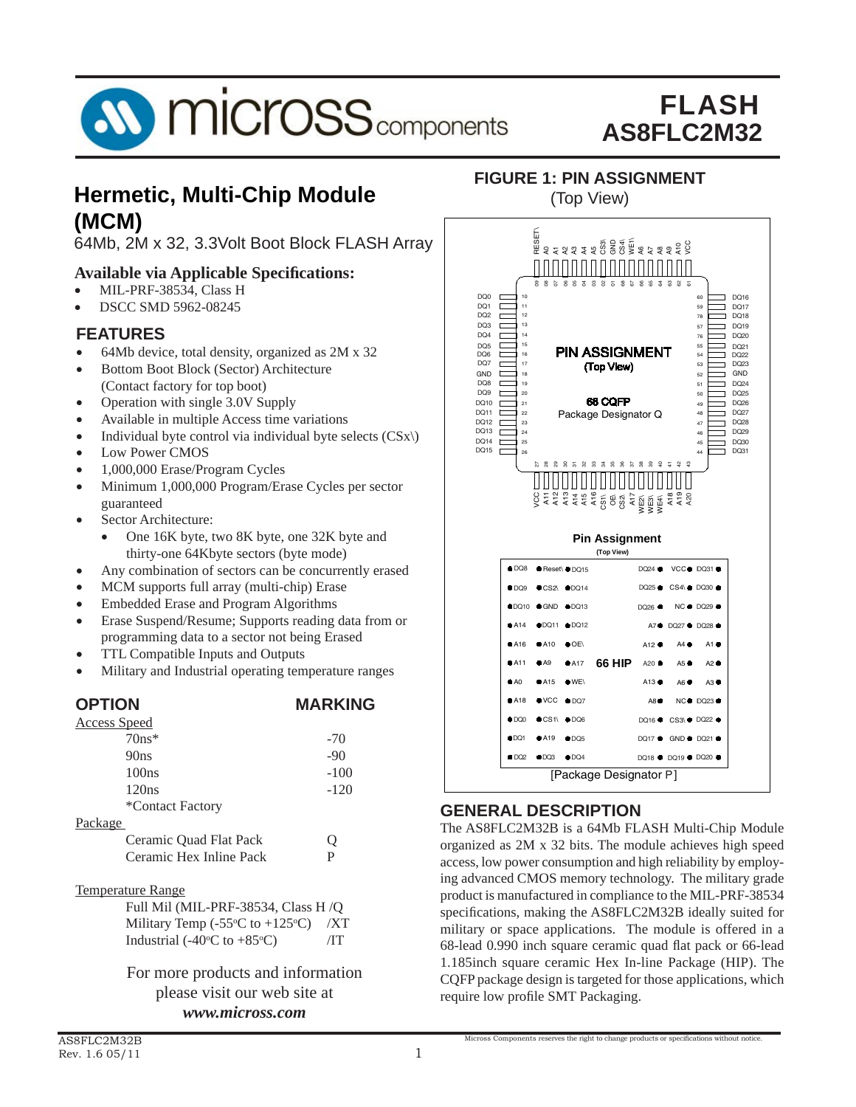

### **Hermetic, Multi-Chip Module The Chip Module** (Top View) **(MCM)**

64Mb, 2M x 32, 3.3Volt Boot Block FLASH Array

### **Available via Applicable Specifi cations:**

- MIL-PRF-38534, Class H
- DSCC SMD 5962-08245

### **FEATURES**

- 64Mb device, total density, organized as 2M x 32
- Bottom Boot Block (Sector) Architecture (Contact factory for top boot)
- Operation with single 3.0V Supply
- Available in multiple Access time variations
- Individual byte control via individual byte selects  $(CSx)$ )
- Low Power CMOS
- 1,000,000 Erase/Program Cycles
- Minimum 1,000,000 Program/Erase Cycles per sector guaranteed
- Sector Architecture:
	- One 16K byte, two 8K byte, one 32K byte and thirty-one 64Kbyte sectors (byte mode)
- Any combination of sectors can be concurrently erased
- MCM supports full array (multi-chip) Erase
- Embedded Erase and Program Algorithms
- Erase Suspend/Resume; Supports reading data from or programming data to a sector not being Erased
- TTL Compatible Inputs and Outputs
- Military and Industrial operating temperature ranges

| <b>OPTION</b>                                                                                                                                                                                                                                                                                    | <b>MARKING</b> |
|--------------------------------------------------------------------------------------------------------------------------------------------------------------------------------------------------------------------------------------------------------------------------------------------------|----------------|
| <b>Access Speed</b>                                                                                                                                                                                                                                                                              |                |
| $70ns*$                                                                                                                                                                                                                                                                                          | $-70$          |
| 90ns                                                                                                                                                                                                                                                                                             | $-90$          |
| 100ns                                                                                                                                                                                                                                                                                            | $-100$         |
| 120ns                                                                                                                                                                                                                                                                                            | $-120$         |
| *Contact Factory                                                                                                                                                                                                                                                                                 |                |
| Package                                                                                                                                                                                                                                                                                          |                |
| Ceramic Ouad Flat Pack                                                                                                                                                                                                                                                                           | Q              |
| Ceramic Hex Inline Pack                                                                                                                                                                                                                                                                          | P              |
| <b>Temperature Range</b>                                                                                                                                                                                                                                                                         |                |
| Full Mil (MIL-PRF-38534, Class H /O                                                                                                                                                                                                                                                              |                |
| Military Temp (-55 $\degree$ C to +125 $\degree$ C)                                                                                                                                                                                                                                              | /XT            |
| Industrial (-40 $\rm{^{\circ}C}$ to +85 $\rm{^{\circ}C}$ )                                                                                                                                                                                                                                       | ÆТ             |
| $\mathbf{r}$ and $\mathbf{r}$ and $\mathbf{r}$ and $\mathbf{r}$ and $\mathbf{r}$ and $\mathbf{r}$ and $\mathbf{r}$ and $\mathbf{r}$ and $\mathbf{r}$ and $\mathbf{r}$ and $\mathbf{r}$ and $\mathbf{r}$ and $\mathbf{r}$ and $\mathbf{r}$ and $\mathbf{r}$ and $\mathbf{r}$ and $\mathbf{r}$ and |                |

For more products and information please visit our web site at *www.micross.com*



**FIGURE 1: PIN ASSIGNMENT**

### **GENERAL DESCRIPTION**

The AS8FLC2M32B is a 64Mb FLASH Multi-Chip Module organized as 2M x 32 bits. The module achieves high speed access, low power consumption and high reliability by employing advanced CMOS memory technology. The military grade product is manufactured in compliance to the MIL-PRF-38534 specifications, making the AS8FLC2M32B ideally suited for military or space applications. The module is offered in a 68-lead 0.990 inch square ceramic quad flat pack or 66-lead 1.185inch square ceramic Hex In-line Package (HIP). The CQFP package design is targeted for those applications, which require low profile SMT Packaging.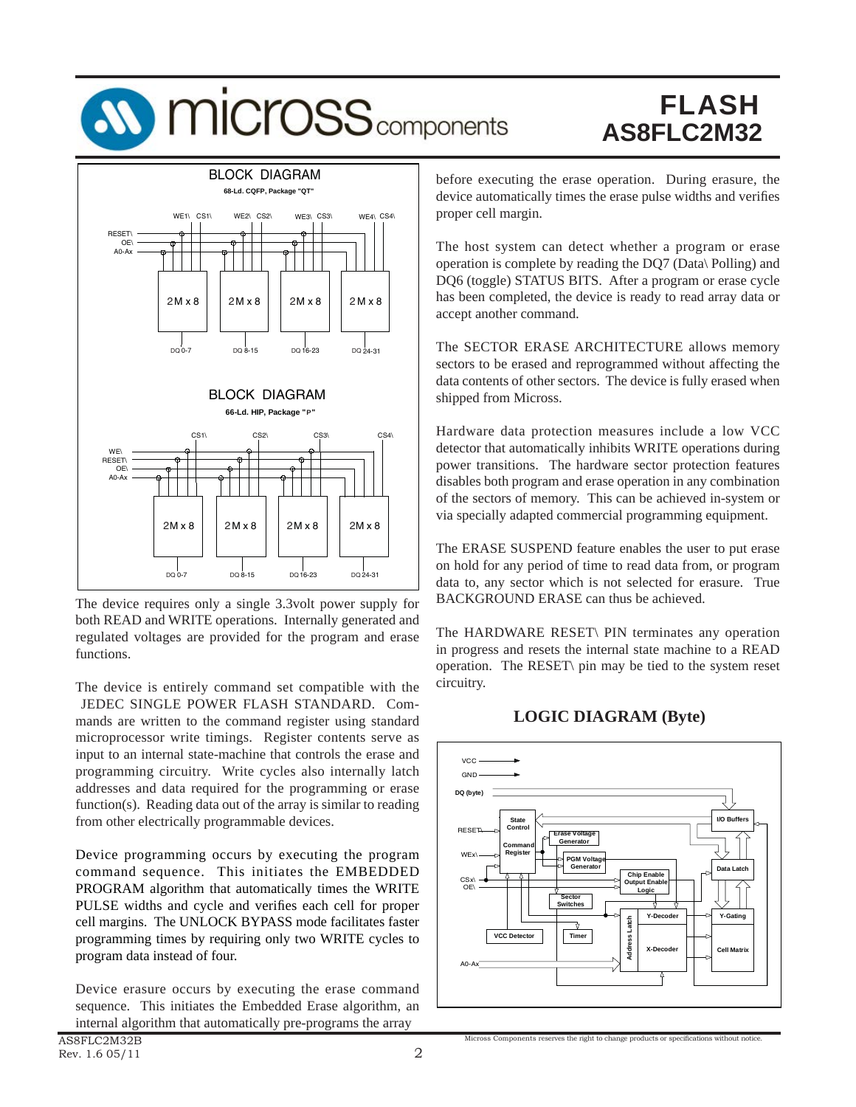## **SV MICrOSS** components

## FLASH **AS8FLC2M32**



The device requires only a single 3.3volt power supply for both READ and WRITE operations. Internally generated and regulated voltages are provided for the program and erase functions.

The device is entirely command set compatible with the JEDEC SINGLE POWER FLASH STANDARD. Commands are written to the command register using standard microprocessor write timings. Register contents serve as input to an internal state-machine that controls the erase and programming circuitry. Write cycles also internally latch addresses and data required for the programming or erase function(s). Reading data out of the array is similar to reading from other electrically programmable devices.

Device programming occurs by executing the program command sequence. This initiates the EMBEDDED PROGRAM algorithm that automatically times the WRITE PULSE widths and cycle and verifies each cell for proper cell margins. The UNLOCK BYPASS mode facilitates faster programming times by requiring only two WRITE cycles to program data instead of four.

Device erasure occurs by executing the erase command sequence. This initiates the Embedded Erase algorithm, an internal algorithm that automatically pre-programs the array

before executing the erase operation. During erasure, the device automatically times the erase pulse widths and verifies proper cell margin.

The host system can detect whether a program or erase operation is complete by reading the DQ7 (Data\ Polling) and DQ6 (toggle) STATUS BITS. After a program or erase cycle has been completed, the device is ready to read array data or accept another command.

The SECTOR ERASE ARCHITECTURE allows memory sectors to be erased and reprogrammed without affecting the data contents of other sectors. The device is fully erased when shipped from Micross.

Hardware data protection measures include a low VCC detector that automatically inhibits WRITE operations during power transitions. The hardware sector protection features disables both program and erase operation in any combination of the sectors of memory. This can be achieved in-system or via specially adapted commercial programming equipment.

The ERASE SUSPEND feature enables the user to put erase on hold for any period of time to read data from, or program data to, any sector which is not selected for erasure. True BACKGROUND ERASE can thus be achieved.

The HARDWARE RESET\ PIN terminates any operation in progress and resets the internal state machine to a READ operation. The RESET\ pin may be tied to the system reset circuitry.



Micross Components reserves the right to change products or specifications without notice

#### **LOGIC DIAGRAM (Byte)**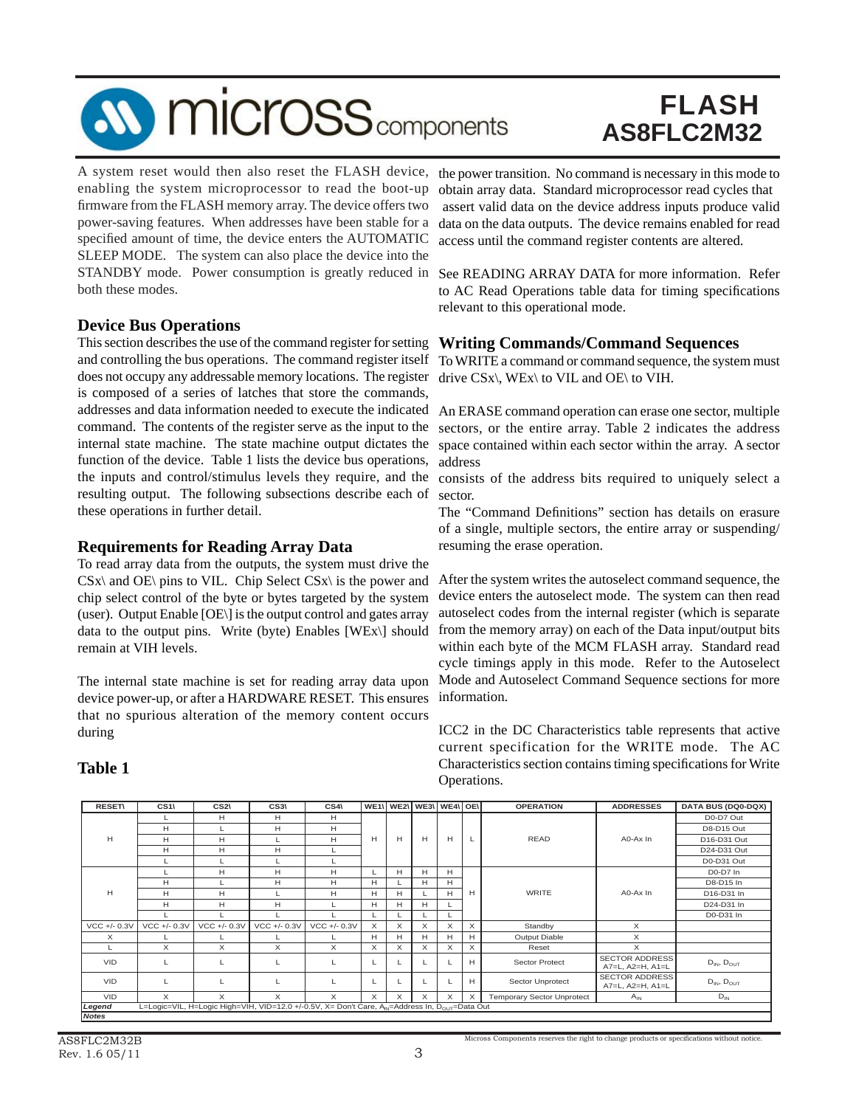# **SV MICrOSS** components

### FLASH **AS8FLC2M32**

A system reset would then also reset the FLASH device, enabling the system microprocessor to read the boot-up firmware from the FLASH memory array. The device offers two power-saving features. When addresses have been stable for a specified amount of time, the device enters the AUTOMATIC SLEEP MODE. The system can also place the device into the STANDBY mode. Power consumption is greatly reduced in both these modes.

#### **Device Bus Operations**

This section describes the use of the command register for setting and controlling the bus operations. The command register itself does not occupy any addressable memory locations. The register is composed of a series of latches that store the commands, addresses and data information needed to execute the indicated command. The contents of the register serve as the input to the internal state machine. The state machine output dictates the function of the device. Table 1 lists the device bus operations, the inputs and control/stimulus levels they require, and the resulting output. The following subsections describe each of these operations in further detail.

#### **Requirements for Reading Array Data**

To read array data from the outputs, the system must drive the  $CSx\$  and OE\ pins to VIL. Chip Select CSx\ is the power and chip select control of the byte or bytes targeted by the system (user). Output Enable [OE\] is the output control and gates array data to the output pins. Write (byte) Enables [WEx\] should remain at VIH levels.

The internal state machine is set for reading array data upon device power-up, or after a HARDWARE RESET. This ensures that no spurious alteration of the memory content occurs during

### **Table 1**

the power transition. No command is necessary in this mode to obtain array data. Standard microprocessor read cycles that assert valid data on the device address inputs produce valid data on the data outputs. The device remains enabled for read access until the command register contents are altered.

See READING ARRAY DATA for more information. Refer to AC Read Operations table data for timing specifications relevant to this operational mode.

### **Writing Commands/Command Sequences**

To WRITE a command or command sequence, the system must drive CSx\, WEx\ to VIL and OE\ to VIH.

An ERASE command operation can erase one sector, multiple sectors, or the entire array. Table 2 indicates the address space contained within each sector within the array. A sector address

consists of the address bits required to uniquely select a sector.

The "Command Definitions" section has details on erasure of a single, multiple sectors, the entire array or suspending/ resuming the erase operation.

After the system writes the autoselect command sequence, the device enters the autoselect mode. The system can then read autoselect codes from the internal register (which is separate from the memory array) on each of the Data input/output bits within each byte of the MCM FLASH array. Standard read cycle timings apply in this mode. Refer to the Autoselect Mode and Autoselect Command Sequence sections for more information.

ICC2 in the DC Characteristics table represents that active current specification for the WRITE mode. The AC Characteristics section contains timing specifications for Write Operations.

| <b>RESET\</b>  | CS <sub>1</sub> | CS <sub>2</sub> | CS3\                                                                                                      | $CS4\lambda$  | WE1\ |          |   | WE2\ WE3\ WE4\ OE\ |              | <b>OPERATION</b>                  | <b>ADDRESSES</b>                          | <b>DATA BUS (DQ0-DQX)</b> |
|----------------|-----------------|-----------------|-----------------------------------------------------------------------------------------------------------|---------------|------|----------|---|--------------------|--------------|-----------------------------------|-------------------------------------------|---------------------------|
|                | L.              | H               | H                                                                                                         | H             |      |          |   |                    |              |                                   |                                           | D0-D7 Out                 |
|                | H               | L               | H                                                                                                         | H             |      |          |   |                    |              |                                   |                                           | D8-D15 Out                |
| H              | H               | H               |                                                                                                           | H             | н    | H        | H | H                  | $\mathsf{L}$ | <b>READ</b>                       | A0-Ax In                                  | D16-D31 Out               |
|                | H               | H               | H                                                                                                         |               |      |          |   |                    |              |                                   |                                           | D24-D31 Out               |
|                | L               | L               | L                                                                                                         |               |      |          |   |                    |              |                                   |                                           | D0-D31 Out                |
|                |                 | н               | Н                                                                                                         | H             |      | H        | н | H                  |              |                                   |                                           | D0-D7 In                  |
|                | H               | L               | H                                                                                                         | H             | H    |          | H | H                  |              |                                   |                                           | D8-D15 In                 |
| H              | H               | H               | L                                                                                                         | H             | H    | H        |   | H.                 | H            | <b>WRITE</b>                      | A0-Ax In                                  | D16-D31 In                |
|                | H               | H               | H                                                                                                         |               | H    | H        | н |                    |              |                                   |                                           | D24-D31 In                |
|                |                 |                 |                                                                                                           |               |      |          |   |                    |              |                                   |                                           | D0-D31 In                 |
| $VCC +/- 0.3V$ | VCC +/- 0.3V    | $VCC +/- 0.3V$  | $VCC +/- 0.3V$                                                                                            | $VCC + -0.3V$ | X    | X        | X | X                  | $\times$     | Standby                           | X                                         |                           |
| X              |                 |                 |                                                                                                           |               | H    | H        | Н | H                  | H            | Output Diable                     | X                                         |                           |
|                | X               | X               | X                                                                                                         | X             | X    | $\times$ | X | $\times$           | $\times$     | Reset                             | X                                         |                           |
| <b>VID</b>     | L               | L               | L                                                                                                         | L             |      |          |   |                    | H            | Sector Protect                    | <b>SECTOR ADDRESS</b><br>A7=L, A2=H, A1=L | $D_{IN}$ , $D_{OUT}$      |
| <b>VID</b>     | L               | L               | L                                                                                                         | L             |      |          |   |                    | H            | Sector Unprotect                  | <b>SECTOR ADDRESS</b><br>A7=L, A2=H, A1=L | $D_{IN}$ , $D_{OUT}$      |
| <b>VID</b>     | $\times$        | $\times$        | $\times$                                                                                                  | $\times$      | X    | X        | X | $\times$           | $\times$     | <b>Temporary Sector Unprotect</b> | $A_{IN}$                                  | $D_{IN}$                  |
| Legend         |                 |                 | L=Logic=VIL, H=Logic High=VIH, VID=12.0 +/-0.5V, X= Don't Care, AN=Address In, D <sub>OUT</sub> =Data Out |               |      |          |   |                    |              |                                   |                                           |                           |
| <b>Notes</b>   |                 |                 |                                                                                                           |               |      |          |   |                    |              |                                   |                                           |                           |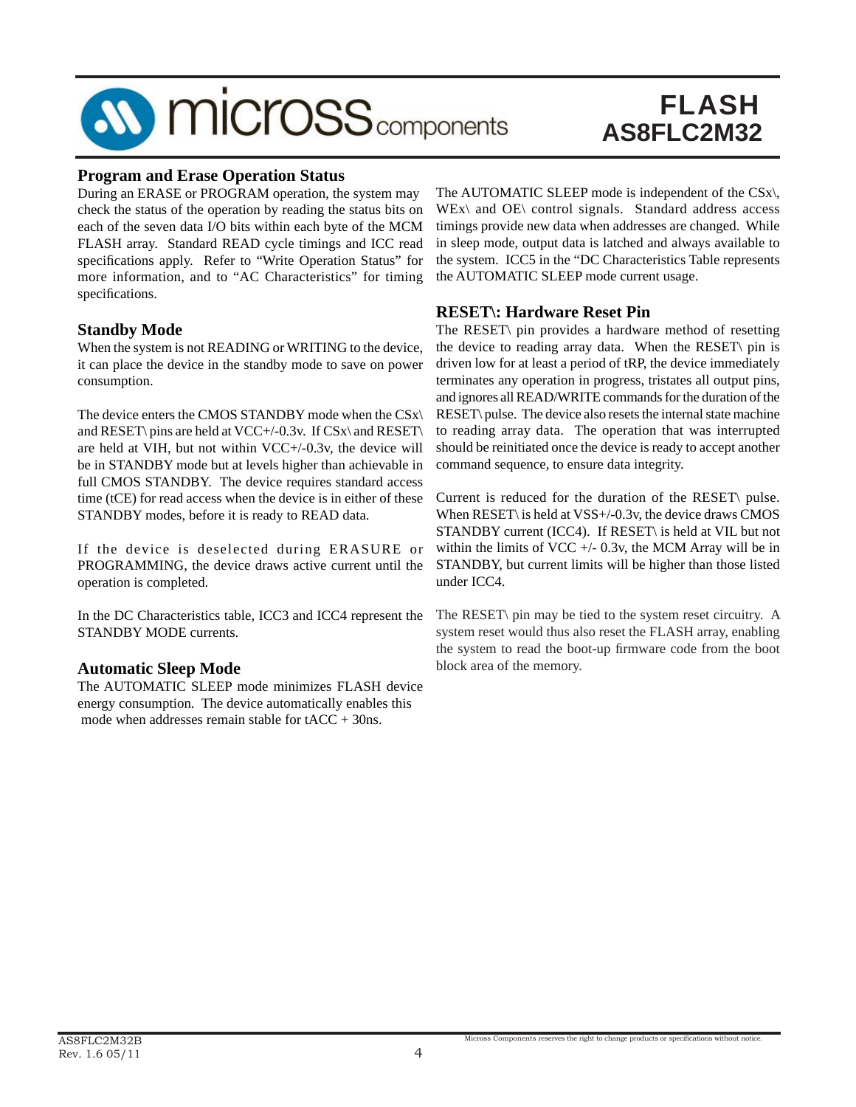

### **Program and Erase Operation Status**

During an ERASE or PROGRAM operation, the system may check the status of the operation by reading the status bits on each of the seven data I/O bits within each byte of the MCM FLASH array. Standard READ cycle timings and ICC read specifications apply. Refer to "Write Operation Status" for more information, and to "AC Characteristics" for timing specifications.

#### **Standby Mode**

When the system is not READING or WRITING to the device, it can place the device in the standby mode to save on power consumption.

The device enters the CMOS STANDBY mode when the CSx\ and RESET\ pins are held at VCC+/-0.3v. If CSx\ and RESET\ are held at VIH, but not within VCC+/-0.3v, the device will be in STANDBY mode but at levels higher than achievable in full CMOS STANDBY. The device requires standard access time (tCE) for read access when the device is in either of these STANDBY modes, before it is ready to READ data.

If the device is deselected during ERASURE or PROGRAMMING, the device draws active current until the operation is completed.

In the DC Characteristics table, ICC3 and ICC4 represent the STANDBY MODE currents.

#### **Automatic Sleep Mode**

The AUTOMATIC SLEEP mode minimizes FLASH device energy consumption. The device automatically enables this mode when addresses remain stable for  $tACC + 30ns$ .

The AUTOMATIC SLEEP mode is independent of the CSx\,  $WEx\$  and  $OE\$  control signals. Standard address access timings provide new data when addresses are changed. While in sleep mode, output data is latched and always available to the system. ICC5 in the "DC Characteristics Table represents the AUTOMATIC SLEEP mode current usage.

#### **RESET\: Hardware Reset Pin**

The RESET\ pin provides a hardware method of resetting the device to reading array data. When the RESET\ pin is driven low for at least a period of tRP, the device immediately terminates any operation in progress, tristates all output pins, and ignores all READ/WRITE commands for the duration of the RESET\ pulse. The device also resets the internal state machine to reading array data. The operation that was interrupted should be reinitiated once the device is ready to accept another command sequence, to ensure data integrity.

Current is reduced for the duration of the RESET\ pulse. When RESET\ is held at VSS+/-0.3v, the device draws CMOS STANDBY current (ICC4). If RESET\ is held at VIL but not within the limits of VCC  $+/- 0.3v$ , the MCM Array will be in STANDBY, but current limits will be higher than those listed under ICC4.

The RESET\ pin may be tied to the system reset circuitry. A system reset would thus also reset the FLASH array, enabling the system to read the boot-up firmware code from the boot block area of the memory.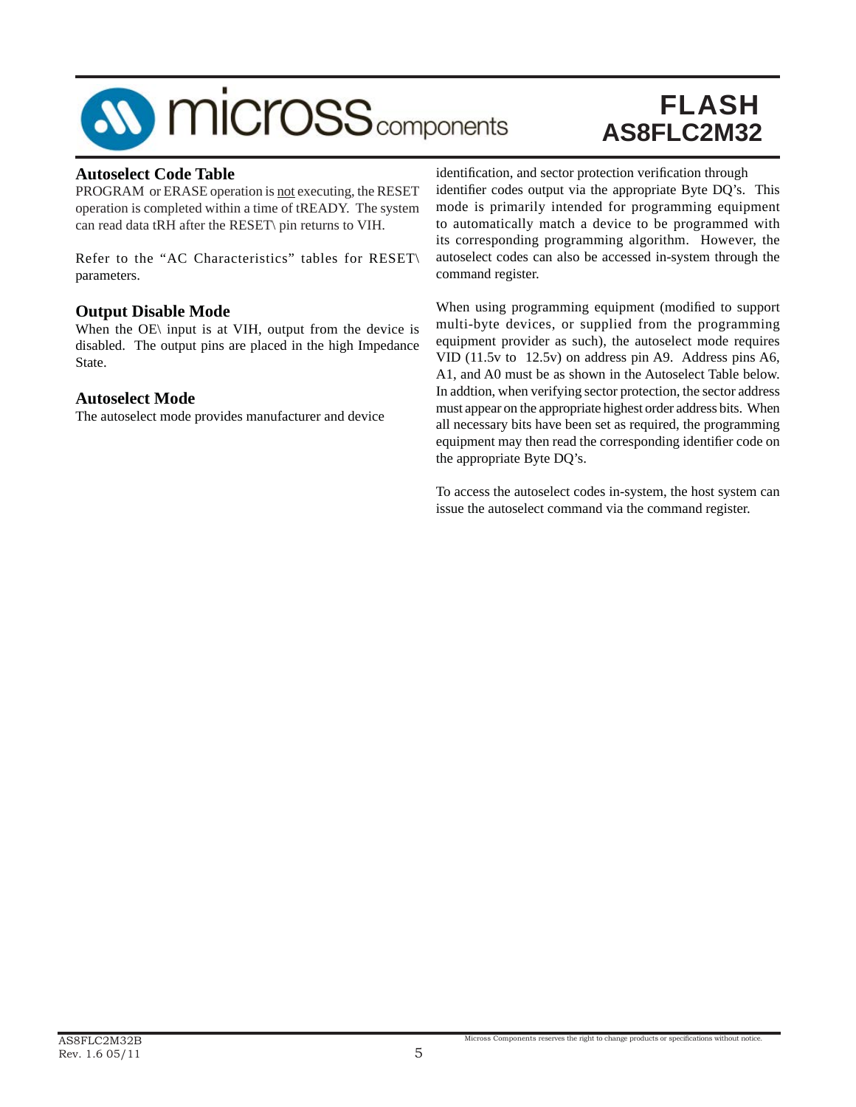# **SV MICrOSS** components

## FLASH **AS8FLC2M32**

#### **Autoselect Code Table**

PROGRAM or ERASE operation is not executing, the RESET operation is completed within a time of tREADY. The system can read data tRH after the RESET\ pin returns to VIH.

Refer to the "AC Characteristics" tables for RESET\ parameters.

#### **Output Disable Mode**

When the OE\ input is at VIH, output from the device is disabled. The output pins are placed in the high Impedance State.

#### **Autoselect Mode**

The autoselect mode provides manufacturer and device

identification, and sector protection verification through identifier codes output via the appropriate Byte DQ's. This mode is primarily intended for programming equipment to automatically match a device to be programmed with its corresponding programming algorithm. However, the autoselect codes can also be accessed in-system through the command register.

When using programming equipment (modified to support multi-byte devices, or supplied from the programming equipment provider as such), the autoselect mode requires VID (11.5v to 12.5v) on address pin A9. Address pins A6, A1, and A0 must be as shown in the Autoselect Table below. In addtion, when verifying sector protection, the sector address must appear on the appropriate highest order address bits. When all necessary bits have been set as required, the programming equipment may then read the corresponding identifier code on the appropriate Byte DQ's.

To access the autoselect codes in-system, the host system can issue the autoselect command via the command register.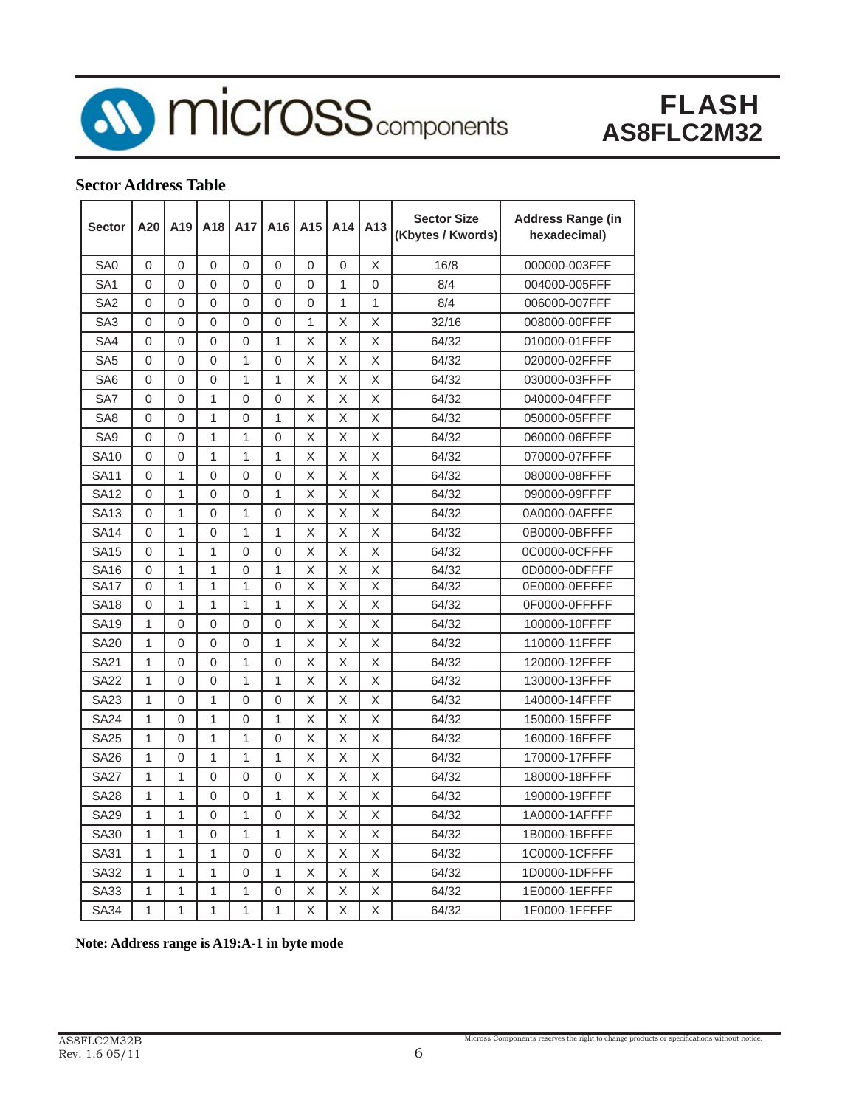

**10 micross** components

### FLASH **AS8FLC2M32**

### **Sector Address Table**

| <b>Sector</b>   | A20            | A <sub>19</sub> | A <sub>18</sub> | A17            | A16          | A <sub>15</sub> | A14          | A <sub>13</sub>         | <b>Sector Size</b><br>(Kbytes / Kwords) | <b>Address Range (in</b><br>hexadecimal) |
|-----------------|----------------|-----------------|-----------------|----------------|--------------|-----------------|--------------|-------------------------|-----------------------------------------|------------------------------------------|
| SA <sub>0</sub> | 0              | $\Omega$        | 0               | $\Omega$       | 0            | 0               | $\Omega$     | X                       | 16/8                                    | 000000-003FFF                            |
| SA <sub>1</sub> | $\Omega$       | $\Omega$        | $\Omega$        | $\Omega$       | $\Omega$     | $\Omega$        | 1            | $\Omega$                | 8/4                                     | 004000-005FFF                            |
| SA <sub>2</sub> | $\Omega$       | $\Omega$        | $\Omega$        | $\Omega$       | 0            | 0               | $\mathbf{1}$ | 1                       | 8/4                                     | 006000-007FFF                            |
| SA3             | 0              | $\Omega$        | 0               | $\Omega$       | 0            | 1               | Χ            | X                       | 32/16                                   | 008000-00FFFF                            |
| SA4             | $\Omega$       | $\Omega$        | $\Omega$        | $\Omega$       | $\mathbf{1}$ | X               | X            | X                       | 64/32                                   | 010000-01FFFF                            |
| SA <sub>5</sub> | $\Omega$       | $\Omega$        | $\Omega$        | $\mathbf{1}$   | 0            | X               | X            | X                       | 64/32                                   | 020000-02FFFF                            |
| SA6             | $\Omega$       | $\Omega$        | 0               | $\mathbf{1}$   | 1            | X               | X            | X                       | 64/32                                   | 030000-03FFFF                            |
| SA7             | $\overline{0}$ | $\overline{0}$  | 1               | $\overline{0}$ | $\Omega$     | $\mathsf{\chi}$ | X            | $\overline{\mathsf{X}}$ | 64/32                                   | 040000-04FFFF                            |
| SA <sub>8</sub> | $\Omega$       | $\Omega$        | 1               | $\Omega$       | 1            | X               | X            | X                       | 64/32                                   | 050000-05FFFF                            |
| SA <sub>9</sub> | $\Omega$       | $\Omega$        | 1               | 1              | 0            | X               | X            | X                       | 64/32                                   | 060000-06FFFF                            |
| <b>SA10</b>     | $\overline{0}$ | 0               | 1               | 1              | 1            | X               | X            | X                       | 64/32                                   | 070000-07FFFF                            |
| <b>SA11</b>     | $\Omega$       | 1               | $\Omega$        | $\Omega$       | 0            | X               | X            | X                       | 64/32                                   | 080000-08FFFF                            |
| <b>SA12</b>     | $\Omega$       | 1               | $\Omega$        | $\Omega$       | 1            | X               | X            | X                       | 64/32                                   | 090000-09FFFF                            |
| <b>SA13</b>     | $\overline{0}$ | 1               | $\Omega$        | 1              | 0            | X               | X            | X                       | 64/32                                   | 0A0000-0AFFFF                            |
| <b>SA14</b>     | $\Omega$       | 1               | $\Omega$        | $\mathbf{1}$   | 1            | X               | X            | X                       | 64/32                                   | 0B0000-0BFFFF                            |
| <b>SA15</b>     | $\Omega$       | 1               | 1               | $\Omega$       | 0            | X               | X            | X                       | 64/32                                   | 0C0000-0CFFFF                            |
| <b>SA16</b>     | 0              | 1               | 1               | 0              | 1            | X               | X            | X                       | 64/32                                   | 0D0000-0DFFFF                            |
| <b>SA17</b>     | 0              | 1               | 1               | 1              | 0            | X               | Χ            | X                       | 64/32                                   | 0E0000-0EFFFF                            |
| <b>SA18</b>     | $\Omega$       | 1               | 1               | 1              | 1            | X               | X            | X                       | 64/32                                   | 0F0000-0FFFFF                            |
| <b>SA19</b>     | 1              | 0               | $\Omega$        | $\overline{0}$ | 0            | X               | X            | X                       | 64/32                                   | 100000-10FFFF                            |
| <b>SA20</b>     | 1              | $\Omega$        | $\Omega$        | $\Omega$       | 1            | X               | X            | X                       | 64/32                                   | 110000-11FFFF                            |
| <b>SA21</b>     | 1              | $\Omega$        | 0               | $\mathbf{1}$   | 0            | X               | X            | X                       | 64/32                                   | 120000-12FFFF                            |
| <b>SA22</b>     | 1              | 0               | 0               | $\mathbf{1}$   | 1            | X               | X            | $\overline{\mathsf{X}}$ | 64/32                                   | 130000-13FFFF                            |
| SA23            | 1              | $\Omega$        | 1               | $\overline{0}$ | 0            | X               | X            | X                       | 64/32                                   | 140000-14FFFF                            |
| <b>SA24</b>     | 1              | $\Omega$        | 1               | 0              | 1            | X               | X            | X                       | 64/32                                   | 150000-15FFFF                            |
| <b>SA25</b>     | 1              | $\Omega$        | $\overline{1}$  | $\overline{1}$ | 0            | X               | X            | X                       | 64/32                                   | 160000-16FFFF                            |
| <b>SA26</b>     | 1              | $\overline{0}$  | $\overline{1}$  | $\overline{1}$ | 1            | X               | X            | X                       | 64/32                                   | 170000-17FFFF                            |
| <b>SA27</b>     | 1              | 1               | $\Omega$        | 0              | 0            | X               | X            | X                       | 64/32                                   | 180000-18FFFF                            |
| <b>SA28</b>     | 1              | 1               | 0               | 0              | 1            | Χ               | Χ            | Χ                       | 64/32                                   | 190000-19FFFF                            |
| <b>SA29</b>     | 1              | 1               | $\Omega$        | $\mathbf{1}$   | $\Omega$     | X               | Χ            | X                       | 64/32                                   | 1A0000-1AFFFF                            |
| SA30            | 1              | 1               | $\Omega$        | 1              | 1            | X               | X            | X                       | 64/32                                   | 1B0000-1BFFFF                            |
| <b>SA31</b>     | 1              | 1               | 1               | $\Omega$       | 0            | X               | X            | X                       | 64/32                                   | 1C0000-1CFFFF                            |
| <b>SA32</b>     | 1              | 1               | 1               | 0              | 1            | X               | X            | X                       | 64/32                                   | 1D0000-1DFFFF                            |
| SA33            | 1              | 1               | 1               | 1              | 0            | X               | X            | X                       | 64/32                                   | 1E0000-1EFFFF                            |
| <b>SA34</b>     | 1              | 1               | 1               | 1              | 1            | X               | X            | X                       | 64/32                                   | 1F0000-1FFFFF                            |

**Note: Address range is A19:A-1 in byte mode**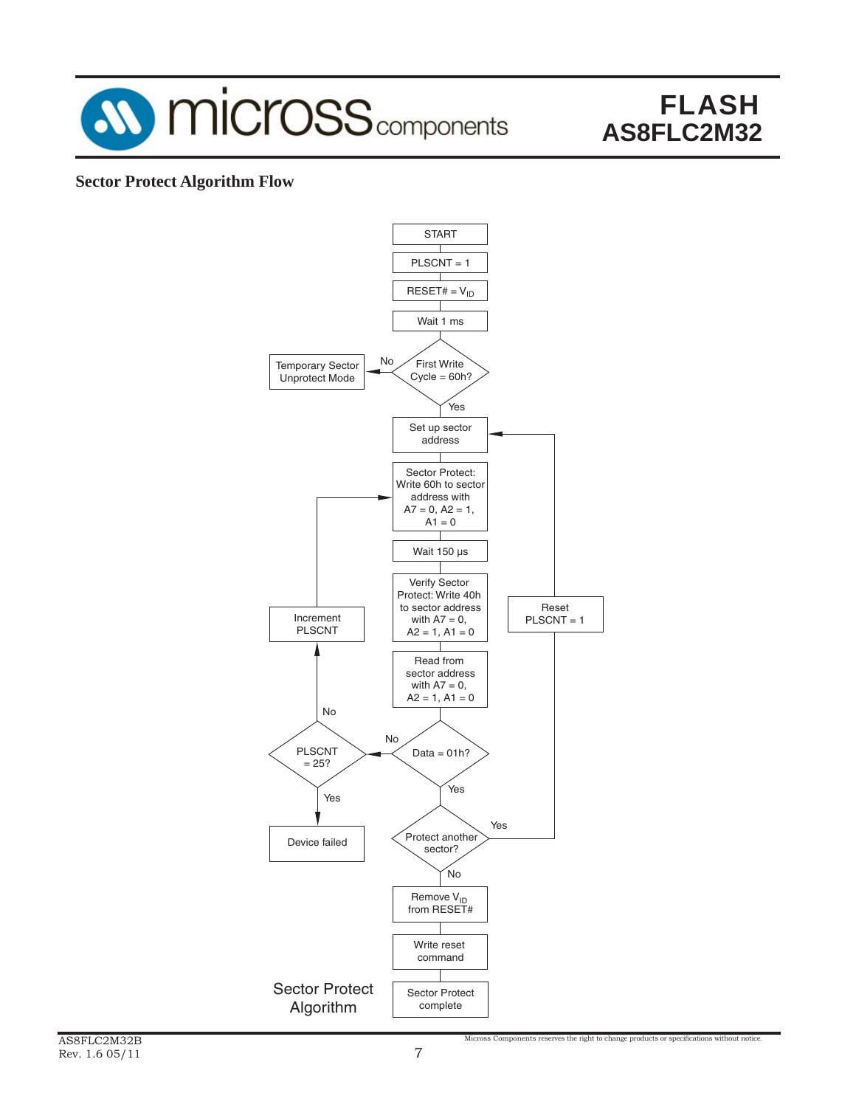

### **Sector Protect Algorithm Flow**

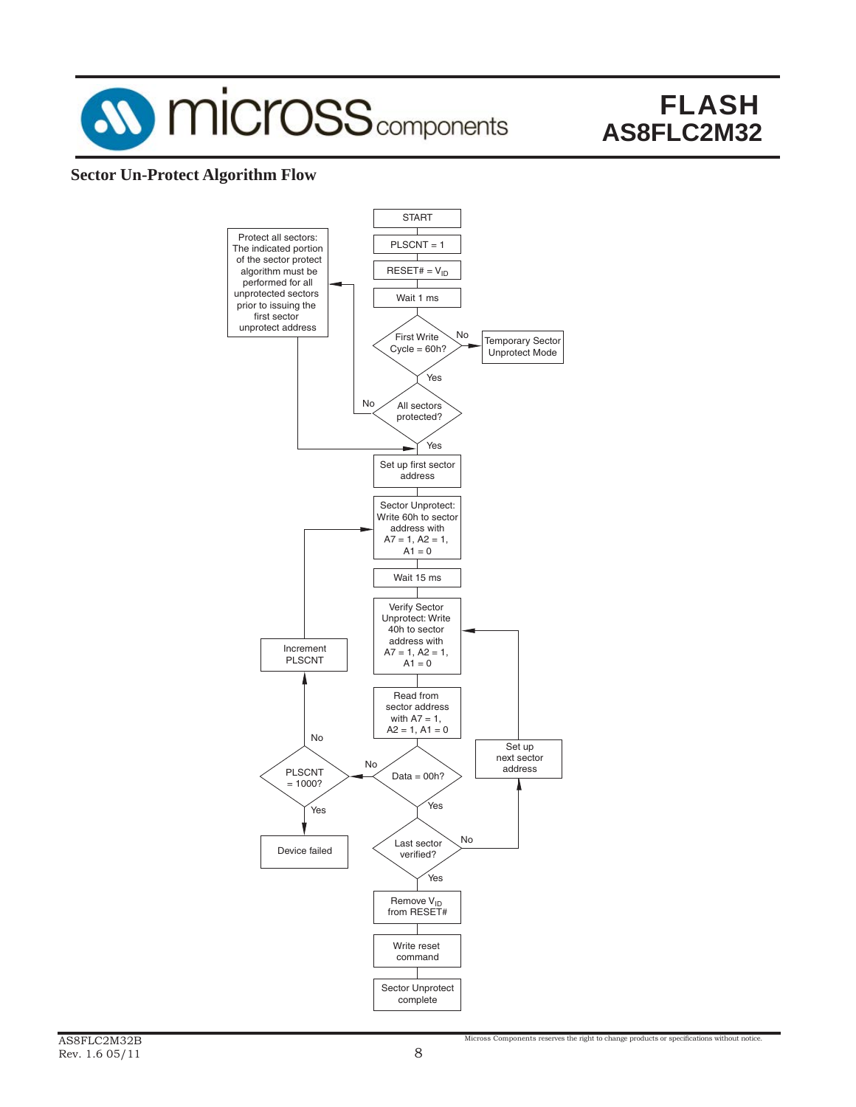

### **Sector Un-Protect Algorithm Flow**

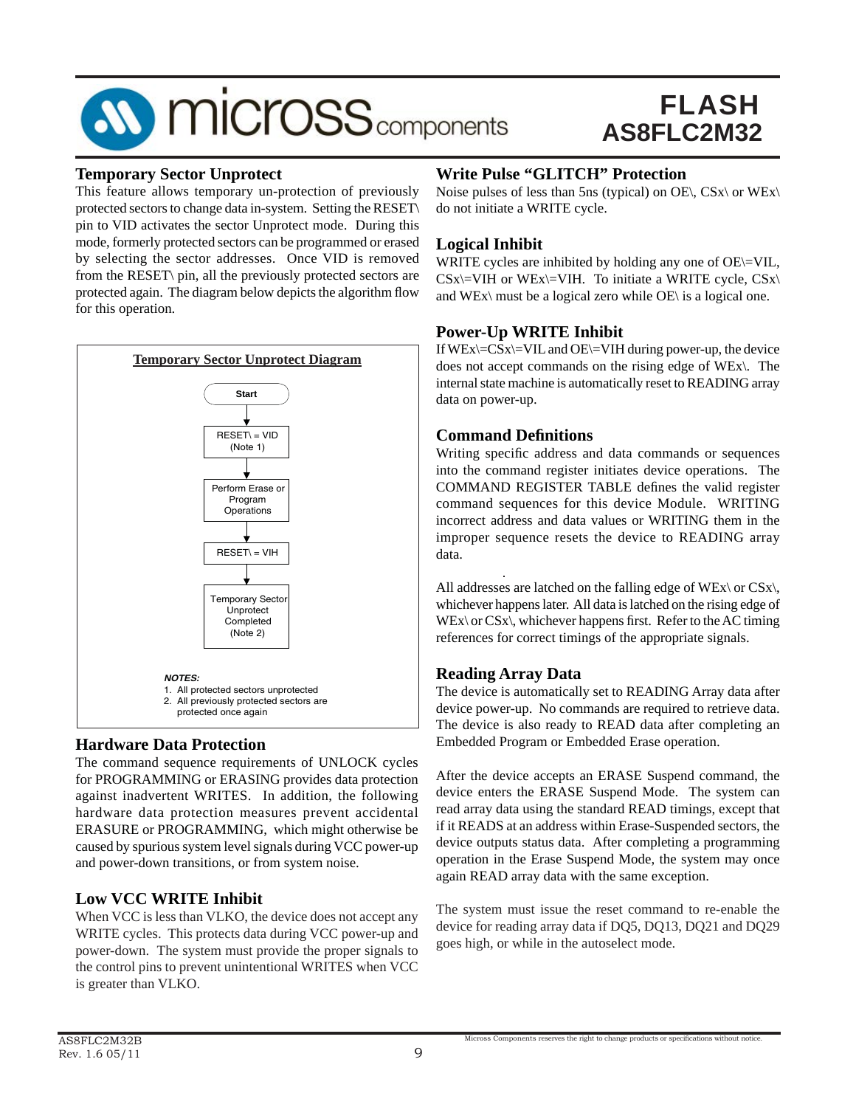## **SV MICrOSS** components

### FLASH **AS8FLC2M32**

#### **Temporary Sector Unprotect**

This feature allows temporary un-protection of previously protected sectors to change data in-system. Setting the RESET\ pin to VID activates the sector Unprotect mode. During this mode, formerly protected sectors can be programmed or erased by selecting the sector addresses. Once VID is removed from the RESET\ pin, all the previously protected sectors are protected again. The diagram below depicts the algorithm flow for this operation.



### **Hardware Data Protection**

The command sequence requirements of UNLOCK cycles for PROGRAMMING or ERASING provides data protection against inadvertent WRITES. In addition, the following hardware data protection measures prevent accidental ERASURE or PROGRAMMING, which might otherwise be caused by spurious system level signals during VCC power-up and power-down transitions, or from system noise.

### **Low VCC WRITE Inhibit**

When VCC is less than VLKO, the device does not accept any WRITE cycles. This protects data during VCC power-up and power-down. The system must provide the proper signals to the control pins to prevent unintentional WRITES when VCC is greater than VLKO.

### **Write Pulse "GLITCH" Protection**

Noise pulses of less than 5ns (typical) on OE\, CSx\ or WEx\ do not initiate a WRITE cycle.

### **Logical Inhibit**

WRITE cycles are inhibited by holding any one of OE\=VIL,  $CSx$  = VIH or WEx = VIH. To initiate a WRITE cycle,  $CSx$ and WEx\ must be a logical zero while  $OE \setminus$  is a logical one.

### **Power-Up WRITE Inhibit**

If  $WEx \subseteq CSx$  WIL and  $OE \subseteq VIH$  during power-up, the device does not accept commands on the rising edge of WEx\. The internal state machine is automatically reset to READING array data on power-up.

### **Command Defi nitions**

Writing specific address and data commands or sequences into the command register initiates device operations. The COMMAND REGISTER TABLE defines the valid register command sequences for this device Module. WRITING incorrect address and data values or WRITING them in the improper sequence resets the device to READING array data.

All addresses are latched on the falling edge of WEx\ or CSx\, whichever happens later. All data is latched on the rising edge of  $WEx\ or CSx\,$ , whichever happens first. Refer to the AC timing references for correct timings of the appropriate signals.

### **Reading Array Data**

The device is automatically set to READING Array data after device power-up. No commands are required to retrieve data. The device is also ready to READ data after completing an Embedded Program or Embedded Erase operation.

After the device accepts an ERASE Suspend command, the device enters the ERASE Suspend Mode. The system can read array data using the standard READ timings, except that if it READS at an address within Erase-Suspended sectors, the device outputs status data. After completing a programming operation in the Erase Suspend Mode, the system may once again READ array data with the same exception.

The system must issue the reset command to re-enable the device for reading array data if DQ5, DQ13, DQ21 and DQ29 goes high, or while in the autoselect mode.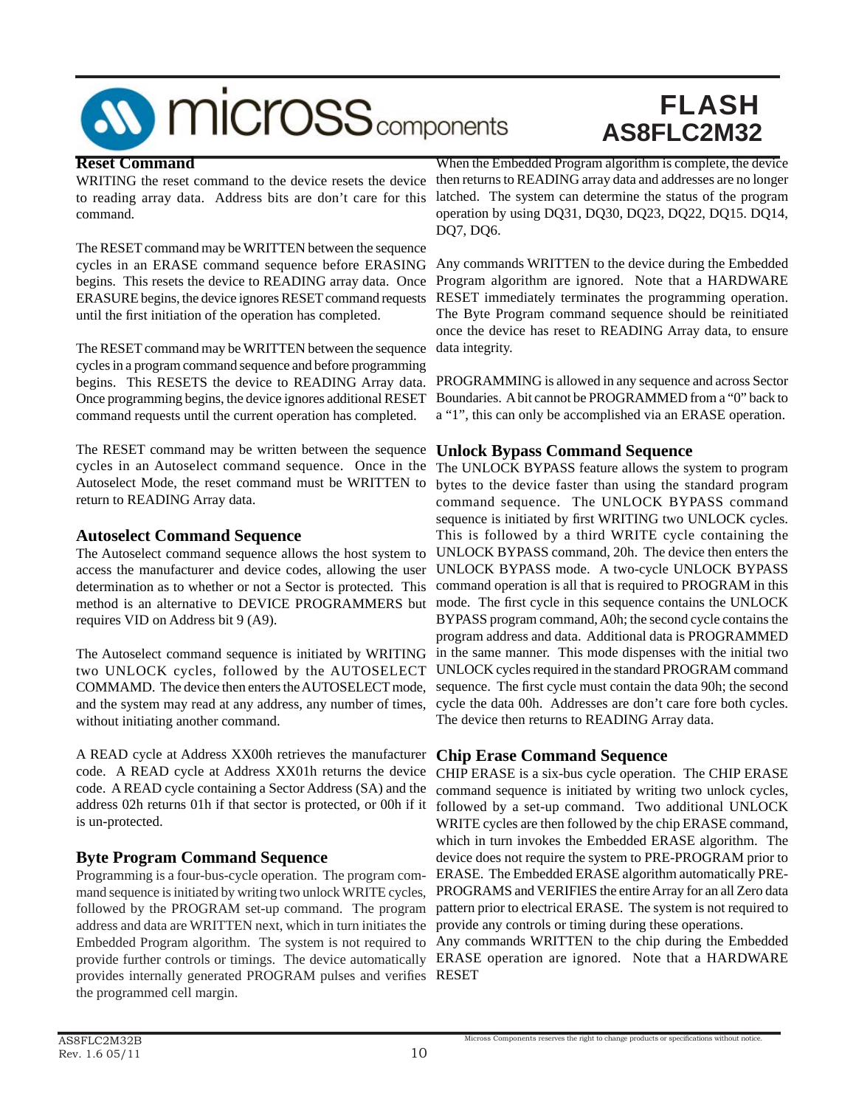

#### **Reset Command**

to reading array data. Address bits are don't care for this command.

The RESET command may be WRITTEN between the sequence cycles in an ERASE command sequence before ERASING begins. This resets the device to READING array data. Once ERASURE begins, the device ignores RESET command requests until the first initiation of the operation has completed.

The RESET command may be WRITTEN between the sequence data integrity. cycles in a program command sequence and before programming begins. This RESETS the device to READING Array data. Once programming begins, the device ignores additional RESET command requests until the current operation has completed.

The RESET command may be written between the sequence **Unlock Bypass Command Sequence** cycles in an Autoselect command sequence. Once in the Autoselect Mode, the reset command must be WRITTEN to return to READING Array data.

#### **Autoselect Command Sequence**

The Autoselect command sequence allows the host system to access the manufacturer and device codes, allowing the user determination as to whether or not a Sector is protected. This method is an alternative to DEVICE PROGRAMMERS but requires VID on Address bit 9 (A9).

The Autoselect command sequence is initiated by WRITING two UNLOCK cycles, followed by the AUTOSELECT COMMAMD. The device then enters the AUTOSELECT mode, and the system may read at any address, any number of times, without initiating another command.

A READ cycle at Address XX00h retrieves the manufacturer **Chip Erase Command Sequence** code. A READ cycle containing a Sector Address (SA) and the address 02h returns 01h if that sector is protected, or 00h if it is un-protected.

### **Byte Program Command Sequence**

Programming is a four-bus-cycle operation. The program command sequence is initiated by writing two unlock WRITE cycles, followed by the PROGRAM set-up command. The program address and data are WRITTEN next, which in turn initiates the Embedded Program algorithm. The system is not required to provides internally generated PROGRAM pulses and verifies RESET the programmed cell margin.

WRITING the reset command to the device resets the device then returns to READING array data and addresses are no longer When the Embedded Program algorithm is complete, the device latched. The system can determine the status of the program operation by using DQ31, DQ30, DQ23, DQ22, DQ15. DQ14, DQ7, DQ6.

> Any commands WRITTEN to the device during the Embedded Program algorithm are ignored. Note that a HARDWARE RESET immediately terminates the programming operation. The Byte Program command sequence should be reinitiated once the device has reset to READING Array data, to ensure

> PROGRAMMING is allowed in any sequence and across Sector Boundaries. A bit cannot be PROGRAMMED from a "0" back to a "1", this can only be accomplished via an ERASE operation.

The UNLOCK BYPASS feature allows the system to program bytes to the device faster than using the standard program command sequence. The UNLOCK BYPASS command sequence is initiated by first WRITING two UNLOCK cycles. This is followed by a third WRITE cycle containing the UNLOCK BYPASS command, 20h. The device then enters the UNLOCK BYPASS mode. A two-cycle UNLOCK BYPASS command operation is all that is required to PROGRAM in this mode. The first cycle in this sequence contains the UNLOCK BYPASS program command, A0h; the second cycle contains the program address and data. Additional data is PROGRAMMED in the same manner. This mode dispenses with the initial two UNLOCK cycles required in the standard PROGRAM command sequence. The first cycle must contain the data 90h; the second cycle the data 00h. Addresses are don't care fore both cycles. The device then returns to READING Array data.

code. A READ cycle at Address XX01h returns the device CHIP ERASE is a six-bus cycle operation. The CHIP ERASE command sequence is initiated by writing two unlock cycles, followed by a set-up command. Two additional UNLOCK WRITE cycles are then followed by the chip ERASE command, which in turn invokes the Embedded ERASE algorithm. The device does not require the system to PRE-PROGRAM prior to ERASE. The Embedded ERASE algorithm automatically PRE-PROGRAMS and VERIFIES the entire Array for an all Zero data pattern prior to electrical ERASE. The system is not required to provide any controls or timing during these operations.

provide further controls or timings. The device automatically ERASE operation are ignored. Note that a HARDWARE Any commands WRITTEN to the chip during the Embedded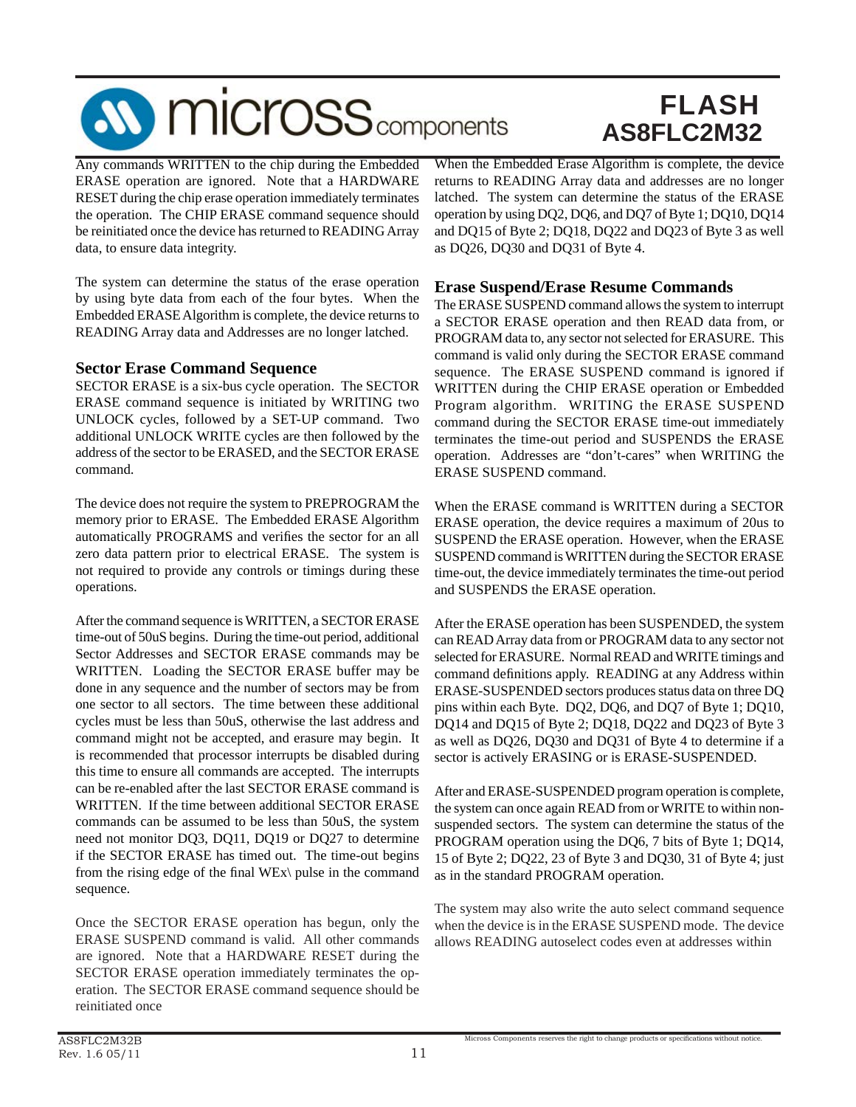

Any commands WRITTEN to the chip during the Embedded ERASE operation are ignored. Note that a HARDWARE RESET during the chip erase operation immediately terminates the operation. The CHIP ERASE command sequence should be reinitiated once the device has returned to READING Array data, to ensure data integrity.

The system can determine the status of the erase operation by using byte data from each of the four bytes. When the Embedded ERASE Algorithm is complete, the device returns to READING Array data and Addresses are no longer latched.

#### **Sector Erase Command Sequence**

SECTOR ERASE is a six-bus cycle operation. The SECTOR ERASE command sequence is initiated by WRITING two UNLOCK cycles, followed by a SET-UP command. Two additional UNLOCK WRITE cycles are then followed by the address of the sector to be ERASED, and the SECTOR ERASE command.

The device does not require the system to PREPROGRAM the memory prior to ERASE. The Embedded ERASE Algorithm automatically PROGRAMS and verifies the sector for an all zero data pattern prior to electrical ERASE. The system is not required to provide any controls or timings during these operations.

After the command sequence is WRITTEN, a SECTOR ERASE time-out of 50uS begins. During the time-out period, additional Sector Addresses and SECTOR ERASE commands may be WRITTEN. Loading the SECTOR ERASE buffer may be done in any sequence and the number of sectors may be from one sector to all sectors. The time between these additional cycles must be less than 50uS, otherwise the last address and command might not be accepted, and erasure may begin. It is recommended that processor interrupts be disabled during this time to ensure all commands are accepted. The interrupts can be re-enabled after the last SECTOR ERASE command is WRITTEN. If the time between additional SECTOR ERASE commands can be assumed to be less than 50uS, the system need not monitor DQ3, DQ11, DQ19 or DQ27 to determine if the SECTOR ERASE has timed out. The time-out begins from the rising edge of the final WEx\ pulse in the command sequence.

Once the SECTOR ERASE operation has begun, only the ERASE SUSPEND command is valid. All other commands are ignored. Note that a HARDWARE RESET during the SECTOR ERASE operation immediately terminates the operation. The SECTOR ERASE command sequence should be reinitiated once

When the Embedded Erase Algorithm is complete, the device returns to READING Array data and addresses are no longer latched. The system can determine the status of the ERASE operation by using DQ2, DQ6, and DQ7 of Byte 1; DQ10, DQ14 and DQ15 of Byte 2; DQ18, DQ22 and DQ23 of Byte 3 as well as DQ26, DQ30 and DQ31 of Byte 4.

#### **Erase Suspend/Erase Resume Commands**

The ERASE SUSPEND command allows the system to interrupt a SECTOR ERASE operation and then READ data from, or PROGRAM data to, any sector not selected for ERASURE. This command is valid only during the SECTOR ERASE command sequence. The ERASE SUSPEND command is ignored if WRITTEN during the CHIP ERASE operation or Embedded Program algorithm. WRITING the ERASE SUSPEND command during the SECTOR ERASE time-out immediately terminates the time-out period and SUSPENDS the ERASE operation. Addresses are "don't-cares" when WRITING the ERASE SUSPEND command.

When the ERASE command is WRITTEN during a SECTOR ERASE operation, the device requires a maximum of 20us to SUSPEND the ERASE operation. However, when the ERASE SUSPEND command is WRITTEN during the SECTOR ERASE time-out, the device immediately terminates the time-out period and SUSPENDS the ERASE operation.

After the ERASE operation has been SUSPENDED, the system can READ Array data from or PROGRAM data to any sector not selected for ERASURE. Normal READ and WRITE timings and command definitions apply. READING at any Address within ERASE-SUSPENDED sectors produces status data on three DQ pins within each Byte. DQ2, DQ6, and DQ7 of Byte 1; DQ10, DQ14 and DQ15 of Byte 2; DQ18, DQ22 and DQ23 of Byte 3 as well as DQ26, DQ30 and DQ31 of Byte 4 to determine if a sector is actively ERASING or is ERASE-SUSPENDED.

After and ERASE-SUSPENDED program operation is complete, the system can once again READ from or WRITE to within nonsuspended sectors. The system can determine the status of the PROGRAM operation using the DQ6, 7 bits of Byte 1; DQ14, 15 of Byte 2; DQ22, 23 of Byte 3 and DQ30, 31 of Byte 4; just as in the standard PROGRAM operation.

The system may also write the auto select command sequence when the device is in the ERASE SUSPEND mode. The device allows READING autoselect codes even at addresses within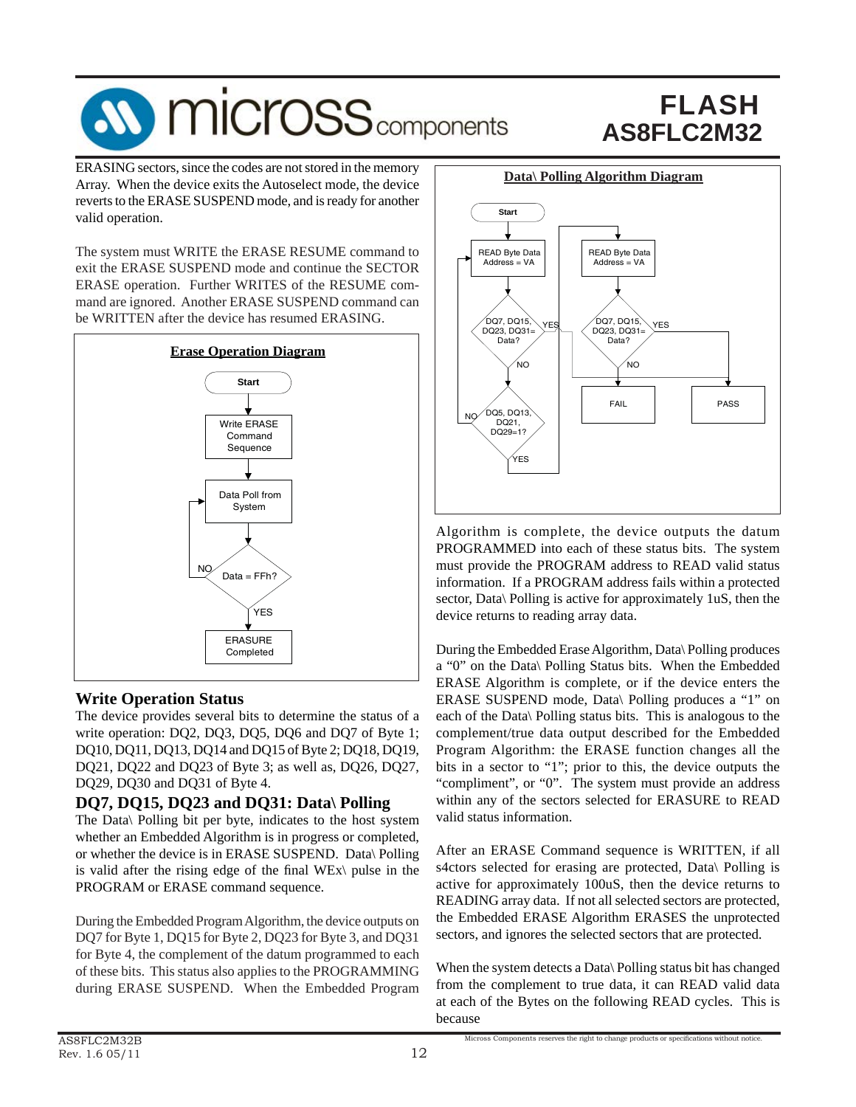

ERASING sectors, since the codes are not stored in the memory Array. When the device exits the Autoselect mode, the device reverts to the ERASE SUSPEND mode, and is ready for another valid operation.

The system must WRITE the ERASE RESUME command to exit the ERASE SUSPEND mode and continue the SECTOR ERASE operation. Further WRITES of the RESUME command are ignored. Another ERASE SUSPEND command can be WRITTEN after the device has resumed ERASING.



### **Write Operation Status**

The device provides several bits to determine the status of a write operation: DQ2, DQ3, DQ5, DQ6 and DQ7 of Byte 1; DQ10, DQ11, DQ13, DQ14 and DQ15 of Byte 2; DQ18, DQ19, DQ21, DQ22 and DQ23 of Byte 3; as well as, DQ26, DQ27, DQ29, DQ30 and DQ31 of Byte 4.

### **DQ7, DQ15, DQ23 and DQ31: Data\ Polling**

The Data\ Polling bit per byte, indicates to the host system whether an Embedded Algorithm is in progress or completed, or whether the device is in ERASE SUSPEND. Data\ Polling is valid after the rising edge of the final WEx $\vert$  pulse in the PROGRAM or ERASE command sequence.

During the Embedded Program Algorithm, the device outputs on DQ7 for Byte 1, DQ15 for Byte 2, DQ23 for Byte 3, and DQ31 for Byte 4, the complement of the datum programmed to each of these bits. This status also applies to the PROGRAMMING during ERASE SUSPEND. When the Embedded Program



Algorithm is complete, the device outputs the datum PROGRAMMED into each of these status bits. The system must provide the PROGRAM address to READ valid status information. If a PROGRAM address fails within a protected sector, Data\ Polling is active for approximately 1uS, then the device returns to reading array data.

During the Embedded Erase Algorithm, Data\ Polling produces a "0" on the Data\ Polling Status bits. When the Embedded ERASE Algorithm is complete, or if the device enters the ERASE SUSPEND mode, Data\ Polling produces a "1" on each of the Data\ Polling status bits. This is analogous to the complement/true data output described for the Embedded Program Algorithm: the ERASE function changes all the bits in a sector to "1"; prior to this, the device outputs the "compliment", or "0". The system must provide an address within any of the sectors selected for ERASURE to READ valid status information.

After an ERASE Command sequence is WRITTEN, if all s4ctors selected for erasing are protected, Data\ Polling is active for approximately 100uS, then the device returns to READING array data. If not all selected sectors are protected, the Embedded ERASE Algorithm ERASES the unprotected sectors, and ignores the selected sectors that are protected.

When the system detects a Data\ Polling status bit has changed from the complement to true data, it can READ valid data at each of the Bytes on the following READ cycles. This is because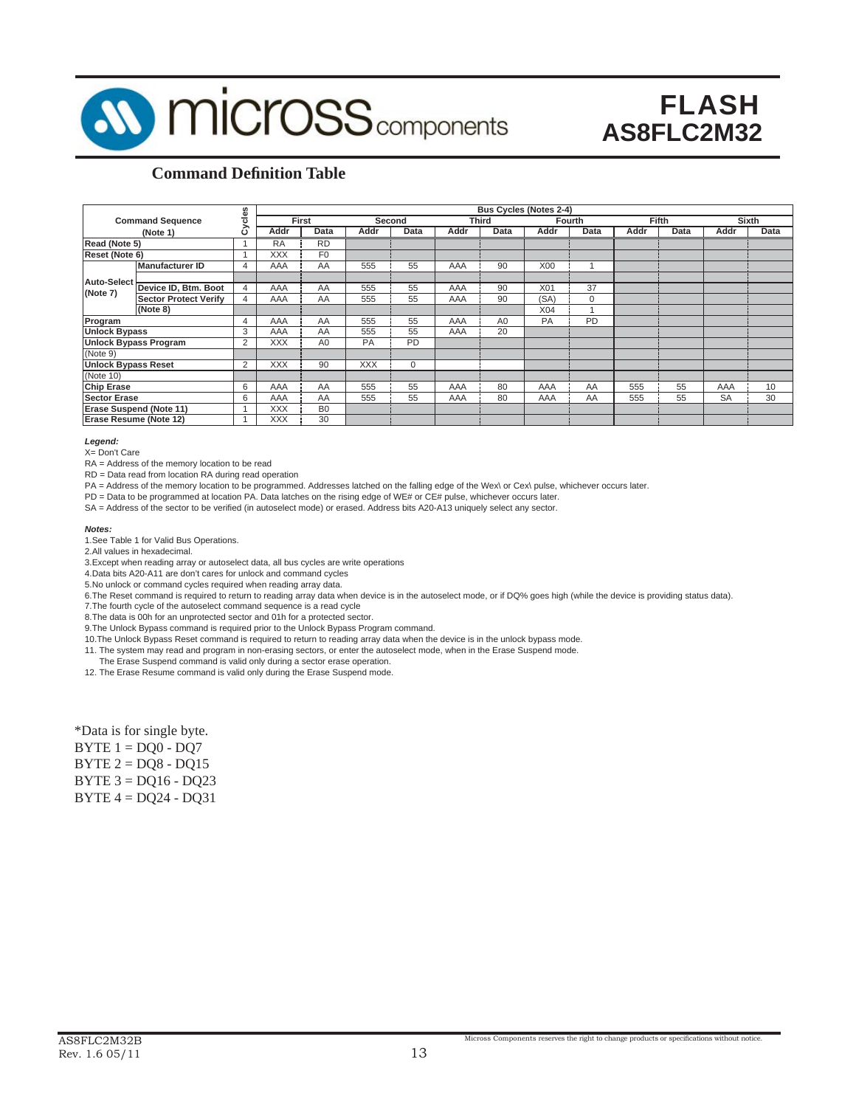

### **Command Definition Table**

|                                |                              | cles           |            | <b>Bus Cycles (Notes 2-4)</b> |            |           |      |                |            |          |      |       |           |              |
|--------------------------------|------------------------------|----------------|------------|-------------------------------|------------|-----------|------|----------------|------------|----------|------|-------|-----------|--------------|
|                                | <b>Command Sequence</b>      |                |            | First                         |            | Second    |      | <b>Third</b>   |            | Fourth   |      | Fifth |           | <b>Sixth</b> |
|                                | (Note 1)                     |                | Addr       | Data                          | Addr       | Data      | Addr | Data           | Addr       | Data     | Addr | Data  | Addr      | Data         |
| Read (Note 5)                  |                              |                | <b>RA</b>  | <b>RD</b>                     |            |           |      |                |            |          |      |       |           |              |
| Reset (Note 6)                 |                              |                | <b>XXX</b> | F <sub>0</sub>                |            |           |      |                |            |          |      |       |           |              |
|                                | <b>Manufacturer ID</b>       | 4              | AAA        | AA                            | 555        | 55        | AAA  | 90             | <b>X00</b> |          |      |       |           |              |
| Auto-Select                    |                              |                |            |                               |            |           |      |                |            |          |      |       |           |              |
| (Note 7)                       | Device ID, Btm. Boot         | $\overline{4}$ | AAA        | AA                            | 555        | 55        | AAA  | 90             | <b>X01</b> | 37       |      |       |           |              |
|                                | <b>Sector Protect Verify</b> | 4              | AAA        | AA                            | 555        | 55        | AAA  | 90             | (SA)       | $\Omega$ |      |       |           |              |
|                                | (Note 8)                     |                |            |                               |            |           |      |                | X04        |          |      |       |           |              |
| Program                        |                              | 4              | AAA        | AA                            | 555        | 55        | AAA  | A <sub>0</sub> | PA         | PD       |      |       |           |              |
| <b>Unlock Bypass</b>           |                              | 3              | AAA        | AA                            | 555        | 55        | AAA  | 20             |            |          |      |       |           |              |
| <b>Unlock Bypass Program</b>   |                              | 2              | <b>XXX</b> | A <sub>0</sub>                | <b>PA</b>  | <b>PD</b> |      |                |            |          |      |       |           |              |
| (Note 9)                       |                              |                |            |                               |            |           |      |                |            |          |      |       |           |              |
| <b>Unlock Bypass Reset</b>     |                              | 2              | <b>XXX</b> | 90                            | <b>XXX</b> | $\Omega$  |      |                |            |          |      |       |           |              |
| (Note 10)                      |                              |                |            |                               |            |           |      |                |            |          |      |       |           |              |
| <b>Chip Erase</b>              |                              | 6              | AAA        | AA                            | 555        | 55        | AAA  | 80             | AAA        | AA       | 555  | 55    | AAA       | 10           |
| <b>Sector Erase</b>            |                              | 6              | AAA        | AA                            | 555        | 55        | AAA  | 80             | AAA        | AA       | 555  | 55    | <b>SA</b> | 30           |
| <b>Erase Suspend (Note 11)</b> |                              |                | <b>XXX</b> | B <sub>0</sub>                |            |           |      |                |            |          |      |       |           |              |
| Erase Resume (Note 12)         |                              |                | <b>XXX</b> | 30                            |            |           |      |                |            |          |      |       |           |              |

#### *Legend:*

X= Don't Care

RA = Address of the memory location to be read

RD = Data read from location RA during read operation

PA = Address of the memory location to be programmed. Addresses latched on the falling edge of the Wex\ or Cex\ pulse, whichever occurs later.

PD = Data to be programmed at location PA. Data latches on the rising edge of WE# or CE# pulse, whichever occurs later.

SA = Address of the sector to be verified (in autoselect mode) or erased. Address bits A20-A13 uniquely select any sector.

#### *Notes:*

1.See Table 1 for Valid Bus Operations.

2.All values in hexadecimal.

3.Except when reading array or autoselect data, all bus cycles are write operations

4.Data bits A20-A11 are don't cares for unlock and command cycles

5.No unlock or command cycles required when reading array data.

6.The Reset command is required to return to reading array data when device is in the autoselect mode, or if DQ% goes high (while the device is providing status data).

7.The fourth cycle of the autoselect command sequence is a read cycle

8. The data is 00h for an unprotected sector and 01h for a protected sector.

9. The Unlock Bypass command is required prior to the Unlock Bypass Program command.

10.The Unlock Bypass Reset command is required to return to reading array data when the device is in the unlock bypass mode.

11. The system may read and program in non-erasing sectors, or enter the autoselect mode, when in the Erase Suspend mode.

 The Erase Suspend command is valid only during a sector erase operation. 12. The Erase Resume command is valid only during the Erase Suspend mode.

\*Data is for single byte.

| $BYTE 1 = DQ0 - DQ7$   |
|------------------------|
| $BYTE 2 = DQS - DQ15$  |
| BYTE $3 = DQ16 - DQ23$ |
| $BYTE 4 = DQ24 - DQ31$ |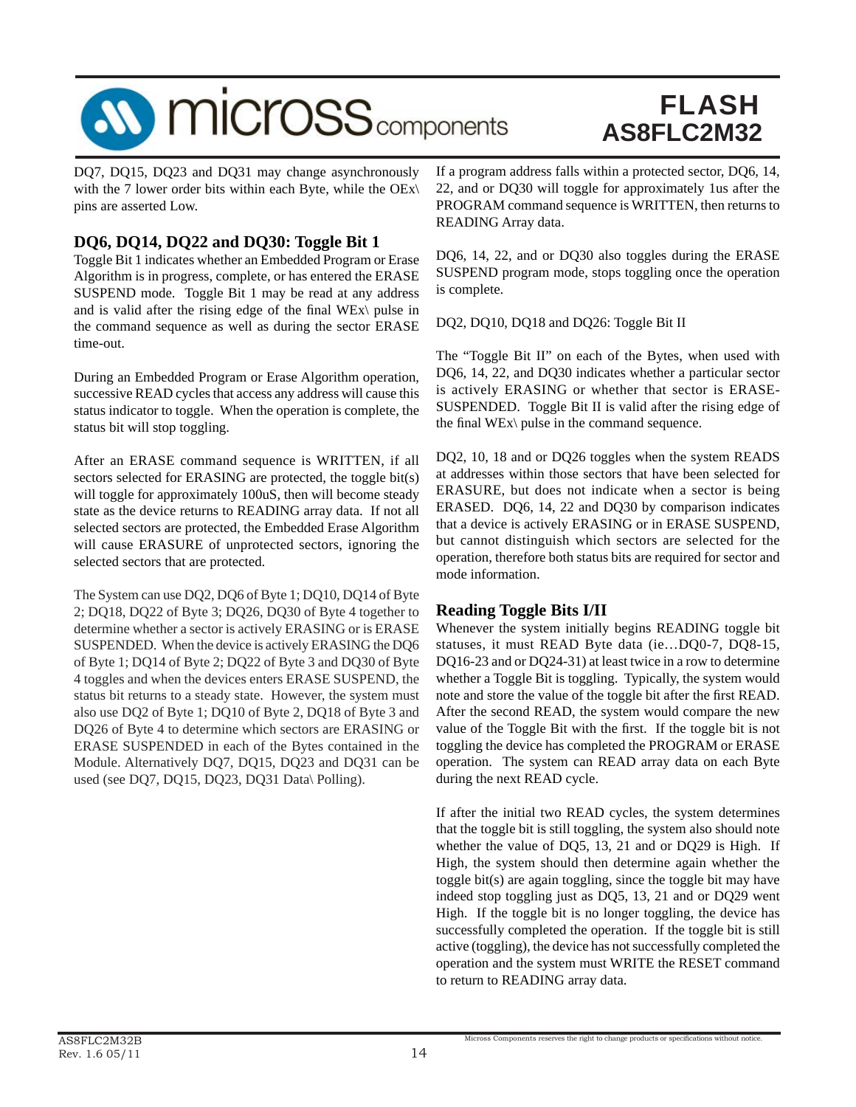

DQ7, DQ15, DQ23 and DQ31 may change asynchronously with the 7 lower order bits within each Byte, while the  $OEx\$ pins are asserted Low.

### **DQ6, DQ14, DQ22 and DQ30: Toggle Bit 1**

Toggle Bit 1 indicates whether an Embedded Program or Erase Algorithm is in progress, complete, or has entered the ERASE SUSPEND mode. Toggle Bit 1 may be read at any address and is valid after the rising edge of the final WE $x\$  pulse in the command sequence as well as during the sector ERASE time-out.

During an Embedded Program or Erase Algorithm operation, successive READ cycles that access any address will cause this status indicator to toggle. When the operation is complete, the status bit will stop toggling.

After an ERASE command sequence is WRITTEN, if all sectors selected for ERASING are protected, the toggle bit(s) will toggle for approximately 100uS, then will become steady state as the device returns to READING array data. If not all selected sectors are protected, the Embedded Erase Algorithm will cause ERASURE of unprotected sectors, ignoring the selected sectors that are protected.

The System can use DQ2, DQ6 of Byte 1; DQ10, DQ14 of Byte 2; DQ18, DQ22 of Byte 3; DQ26, DQ30 of Byte 4 together to determine whether a sector is actively ERASING or is ERASE SUSPENDED. When the device is actively ERASING the DQ6 of Byte 1; DQ14 of Byte 2; DQ22 of Byte 3 and DQ30 of Byte 4 toggles and when the devices enters ERASE SUSPEND, the status bit returns to a steady state. However, the system must also use DQ2 of Byte 1; DQ10 of Byte 2, DQ18 of Byte 3 and DQ26 of Byte 4 to determine which sectors are ERASING or ERASE SUSPENDED in each of the Bytes contained in the Module. Alternatively DQ7, DQ15, DQ23 and DQ31 can be used (see DQ7, DQ15, DQ23, DQ31 Data\ Polling).

If a program address falls within a protected sector, DQ6, 14, 22, and or DQ30 will toggle for approximately 1us after the PROGRAM command sequence is WRITTEN, then returns to READING Array data.

DQ6, 14, 22, and or DQ30 also toggles during the ERASE SUSPEND program mode, stops toggling once the operation is complete.

DQ2, DQ10, DQ18 and DQ26: Toggle Bit II

The "Toggle Bit II" on each of the Bytes, when used with DQ6, 14, 22, and DQ30 indicates whether a particular sector is actively ERASING or whether that sector is ERASE-SUSPENDED. Toggle Bit II is valid after the rising edge of the final WEx $\langle$  pulse in the command sequence.

DQ2, 10, 18 and or DQ26 toggles when the system READS at addresses within those sectors that have been selected for ERASURE, but does not indicate when a sector is being ERASED. DQ6, 14, 22 and DQ30 by comparison indicates that a device is actively ERASING or in ERASE SUSPEND, but cannot distinguish which sectors are selected for the operation, therefore both status bits are required for sector and mode information.

### **Reading Toggle Bits I/II**

Whenever the system initially begins READING toggle bit statuses, it must READ Byte data (ie…DQ0-7, DQ8-15, DQ16-23 and or DQ24-31) at least twice in a row to determine whether a Toggle Bit is toggling. Typically, the system would note and store the value of the toggle bit after the first READ. After the second READ, the system would compare the new value of the Toggle Bit with the first. If the toggle bit is not toggling the device has completed the PROGRAM or ERASE operation. The system can READ array data on each Byte during the next READ cycle.

If after the initial two READ cycles, the system determines that the toggle bit is still toggling, the system also should note whether the value of DQ5, 13, 21 and or DQ29 is High. If High, the system should then determine again whether the toggle bit(s) are again toggling, since the toggle bit may have indeed stop toggling just as DQ5, 13, 21 and or DQ29 went High. If the toggle bit is no longer toggling, the device has successfully completed the operation. If the toggle bit is still active (toggling), the device has not successfully completed the operation and the system must WRITE the RESET command to return to READING array data.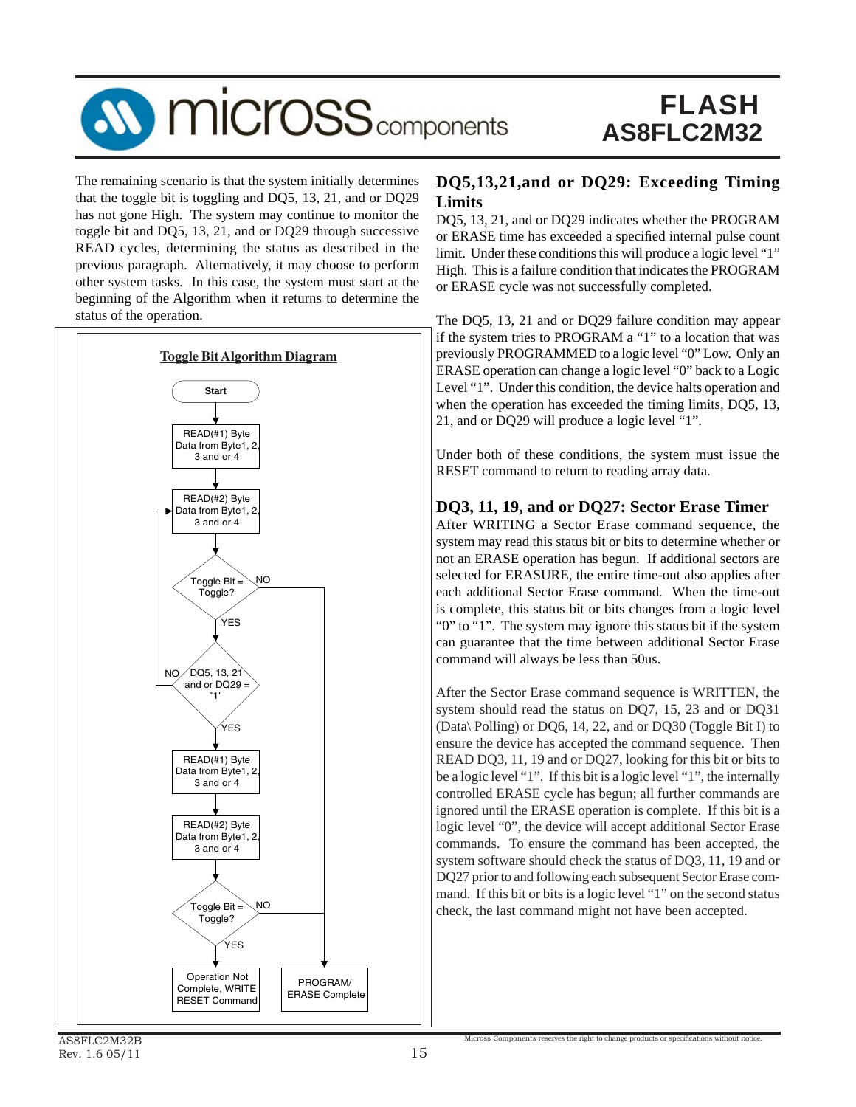

The remaining scenario is that the system initially determines that the toggle bit is toggling and DQ5, 13, 21, and or DQ29 has not gone High. The system may continue to monitor the toggle bit and DQ5, 13, 21, and or DQ29 through successive READ cycles, determining the status as described in the previous paragraph. Alternatively, it may choose to perform other system tasks. In this case, the system must start at the beginning of the Algorithm when it returns to determine the status of the operation.



#### **DQ5,13,21,and or DQ29: Exceeding Timing Limits**

DQ5, 13, 21, and or DQ29 indicates whether the PROGRAM or ERASE time has exceeded a specified internal pulse count limit. Under these conditions this will produce a logic level "1" High. This is a failure condition that indicates the PROGRAM or ERASE cycle was not successfully completed.

The DQ5, 13, 21 and or DQ29 failure condition may appear if the system tries to PROGRAM a "1" to a location that was previously PROGRAMMED to a logic level "0" Low. Only an ERASE operation can change a logic level "0" back to a Logic Level "1". Under this condition, the device halts operation and when the operation has exceeded the timing limits, DQ5, 13, 21, and or DQ29 will produce a logic level "1".

Under both of these conditions, the system must issue the RESET command to return to reading array data.

### **DQ3, 11, 19, and or DQ27: Sector Erase Timer**

After WRITING a Sector Erase command sequence, the system may read this status bit or bits to determine whether or not an ERASE operation has begun. If additional sectors are selected for ERASURE, the entire time-out also applies after each additional Sector Erase command. When the time-out is complete, this status bit or bits changes from a logic level "0" to "1". The system may ignore this status bit if the system can guarantee that the time between additional Sector Erase command will always be less than 50us.

After the Sector Erase command sequence is WRITTEN, the system should read the status on DQ7, 15, 23 and or DQ31 (Data\ Polling) or DQ6, 14, 22, and or DQ30 (Toggle Bit I) to ensure the device has accepted the command sequence. Then READ DQ3, 11, 19 and or DQ27, looking for this bit or bits to be a logic level "1". If this bit is a logic level "1", the internally controlled ERASE cycle has begun; all further commands are ignored until the ERASE operation is complete. If this bit is a logic level "0", the device will accept additional Sector Erase commands. To ensure the command has been accepted, the system software should check the status of DQ3, 11, 19 and or DQ27 prior to and following each subsequent Sector Erase command. If this bit or bits is a logic level "1" on the second status check, the last command might not have been accepted.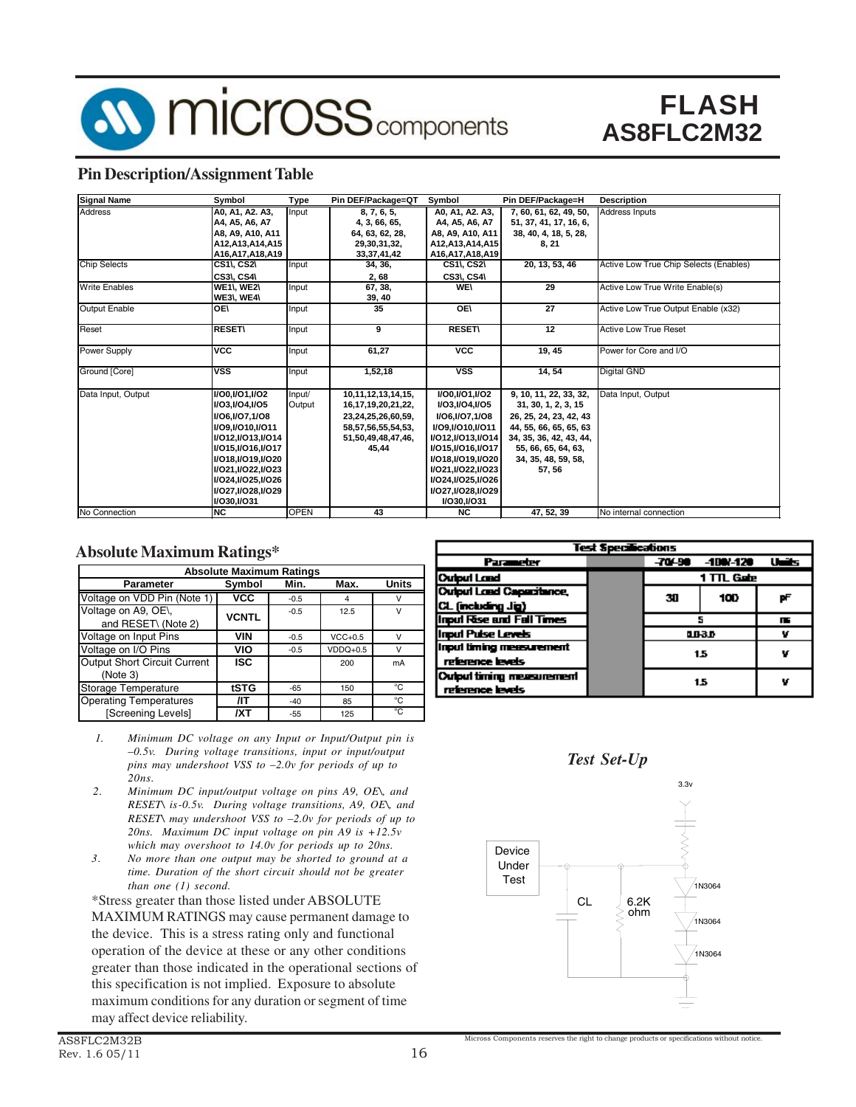

### **Pin Description/Assignment Table**

| <b>Signal Name</b>   | Symbol                | Type        | Pin DEF/Package=QT      | Symbol                  | Pin DEF/Package=H       | <b>Description</b>                     |
|----------------------|-----------------------|-------------|-------------------------|-------------------------|-------------------------|----------------------------------------|
| <b>Address</b>       | A0, A1, A2. A3,       | Input       | 8, 7, 6, 5,             | A0, A1, A2, A3,         | 7, 60, 61, 62, 49, 50,  | Address Inputs                         |
|                      | A4, A5, A6, A7        |             | 4, 3, 66, 65,           | A4, A5, A6, A7          | 51, 37, 41, 17, 16, 6,  |                                        |
|                      | A8, A9, A10, A11      |             | 64, 63, 62, 28,         | A8, A9, A10, A11        | 38, 40, 4, 18, 5, 28,   |                                        |
|                      | A12, A13, A14, A15    |             | 29,30,31,32,            | A12, A13, A14, A15      | 8, 21                   |                                        |
|                      | A16, A17, A18, A19    |             | 33, 37, 41, 42          | A16, A17, A18, A19      |                         |                                        |
| <b>Chip Selects</b>  | <b>CS1\, CS2\</b>     | Input       | 34, 36,                 | <b>CS1\, CS2\</b>       | 20, 13, 53, 46          | Active Low True Chip Selects (Enables) |
|                      | <b>CS3\, CS4\</b>     |             | 2,68                    | <b>CS3\, CS4\</b>       |                         |                                        |
| <b>Write Enables</b> | WE1\, WE2\            | Input       | 67, 38,                 | <b>WE\</b>              | 29                      | Active Low True Write Enable(s)        |
|                      | WE3\, WE4\            |             | 39, 40                  |                         |                         |                                        |
| Output Enable        | IOE\                  | Input       | 35                      | OF                      | $\overline{27}$         | Active Low True Output Enable (x32)    |
|                      |                       |             |                         |                         |                         |                                        |
| Reset                | <b>RESET\</b>         | Input       | 9                       | <b>RESET\</b>           | 12                      | <b>Active Low True Reset</b>           |
| Power Supply         | <b>VCC</b>            | Input       | 61.27                   | $\overline{v}$          | 19, 45                  | Power for Core and I/O                 |
|                      |                       |             |                         |                         |                         |                                        |
| Ground [Core]        | <b>VSS</b>            | Input       | 1,52,18                 | $\overline{\text{VSS}}$ | 14.54                   | <b>Digital GND</b>                     |
|                      |                       |             |                         |                         |                         |                                        |
| Data Input, Output   | <b>I/O0,I/O1,I/O2</b> | Input/      | 10, 11, 12, 13, 14, 15, | <b>I/O0,I/O1,I/O2</b>   | 9, 10, 11, 22, 33, 32,  | Data Input, Output                     |
|                      | I/O3, I/O4, I/O5      | Output      | 16, 17, 19, 20, 21, 22, | I/O3,I/O4,I/O5          | 31, 30, 1, 2, 3, 15     |                                        |
|                      | I/O6, I/O7, 1/O8      |             | 23,24,25,26,60,59,      | <b>I/O6,I/O7,1/O8</b>   | 26, 25, 24, 23, 42, 43  |                                        |
|                      | I/O9.I/O10.I/O11      |             | 58, 57, 56, 55, 54, 53, | <b>I/O9.I/O10.I/O11</b> | 44, 55, 66, 65, 65, 63  |                                        |
|                      | I/O12, I/O13, I/O14   |             | 51,50,49,48,47,46,      | I/O12, I/O13, I/O14     | 34, 35, 36, 42, 43, 44, |                                        |
|                      | I/O15, I/O16, I/O17   |             | 45.44                   | I/O15, I/O16, I/O17     | 55, 66, 65, 64, 63,     |                                        |
|                      | I/O18, I/O19, I/O20   |             |                         | I/O18, I/O19, I/O20     | 34, 35, 48, 59, 58,     |                                        |
|                      | I/O21, I/O22, I/O23   |             |                         | I/O21, I/O22, I/O23     | 57, 56                  |                                        |
|                      | I/O24.I/O25.I/O26     |             |                         | I/O24,I/O25,I/O26       |                         |                                        |
|                      | I/O27, I/O28, I/O29   |             |                         | I/O27,I/O28,I/O29       |                         |                                        |
|                      | I/O30, I/O31          |             |                         | I/O30, I/O31            |                         |                                        |
| No Connection        | <b>NC</b>             | <b>OPEN</b> | 43                      | <b>NC</b>               | 47, 52, 39              | No internal connection                 |

### **Absolute Maximum Ratings\***

|                                            | <b>Absolute Maximum Ratings</b> |        |            |              |  |  |  |  |  |  |  |  |
|--------------------------------------------|---------------------------------|--------|------------|--------------|--|--|--|--|--|--|--|--|
| Parameter                                  | Symbol                          | Min.   | Max.       | <b>Units</b> |  |  |  |  |  |  |  |  |
| Voltage on VDD Pin (Note 1)                | <b>VCC</b>                      | $-0.5$ | 4          | v            |  |  |  |  |  |  |  |  |
| Voltage on A9, OE\,<br>and RESET\ (Note 2) | <b>VCNTL</b>                    | $-0.5$ | 12.5       | v            |  |  |  |  |  |  |  |  |
| Voltage on Input Pins                      | VIN                             | $-0.5$ | $VCC+0.5$  | $\mathsf{V}$ |  |  |  |  |  |  |  |  |
| Voltage on I/O Pins                        | VIO                             | $-0.5$ | $VDDQ+0.5$ | v            |  |  |  |  |  |  |  |  |
| Output Short Circuit Current<br>(Note 3)   | <b>ISC</b>                      |        | 200        | mA           |  |  |  |  |  |  |  |  |
| Storage Temperature                        | tSTG                            | $-65$  | 150        | °C           |  |  |  |  |  |  |  |  |
| <b>Operating Temperatures</b>              | ЛΤ                              | $-40$  | 85         | °C           |  |  |  |  |  |  |  |  |
| [Screening Levels]                         | /XT                             | $-55$  | 125        | °C           |  |  |  |  |  |  |  |  |

- *1. Minimum DC voltage on any Input or Input/Output pin is –0.5v. During voltage transitions, input or input/output pins may undershoot VSS to –2.0v for periods of up to 20ns.*
- *2. Minimum DC input/output voltage on pins A9, OE\, and RESET\ is-0.5v. During voltage transitions, A9, OE\, and RESET\ may undershoot VSS to –2.0v for periods of up to 20ns. Maximum DC input voltage on pin A9 is +12.5v which may overshoot to 14.0v for periods up to 20ns.*
- *3. No more than one output may be shorted to ground at a time. Duration of the short circuit should not be greater than one (1) second.*

\*Stress greater than those listed under ABSOLUTE MAXIMUM RATINGS may cause permanent damage to the device. This is a stress rating only and functional operation of the device at these or any other conditions greater than those indicated in the operational sections of this specification is not implied. Exposure to absolute maximum conditions for any duration or segment of time may affect device reliability.

|                                  | <b>Test Specifications</b> |            |           |       |  |  |  |
|----------------------------------|----------------------------|------------|-----------|-------|--|--|--|
| Parameter                        |                            | $-70 - 90$ | -100/-120 | Units |  |  |  |
| <b>Output Land</b>               |                            | 1 TTL Gute |           |       |  |  |  |
| <b>Output Land Capacitance</b>   |                            | 30         | рF        |       |  |  |  |
| CL (including Jig)               |                            |            | 100       |       |  |  |  |
| <b>Input Rise and Fall Times</b> |                            |            | Ш         |       |  |  |  |
| <b>Input Puise Levels</b>        |                            |            | пп-3.0    | v     |  |  |  |
| Input timing measurement         |                            |            | 1.5       | v     |  |  |  |
| reference levels                 |                            |            |           |       |  |  |  |
| <b>Output timing measurement</b> |                            | 1.5        |           |       |  |  |  |
| reference levels                 |                            |            |           |       |  |  |  |
|                                  |                            |            |           |       |  |  |  |

*Test Set-Up*

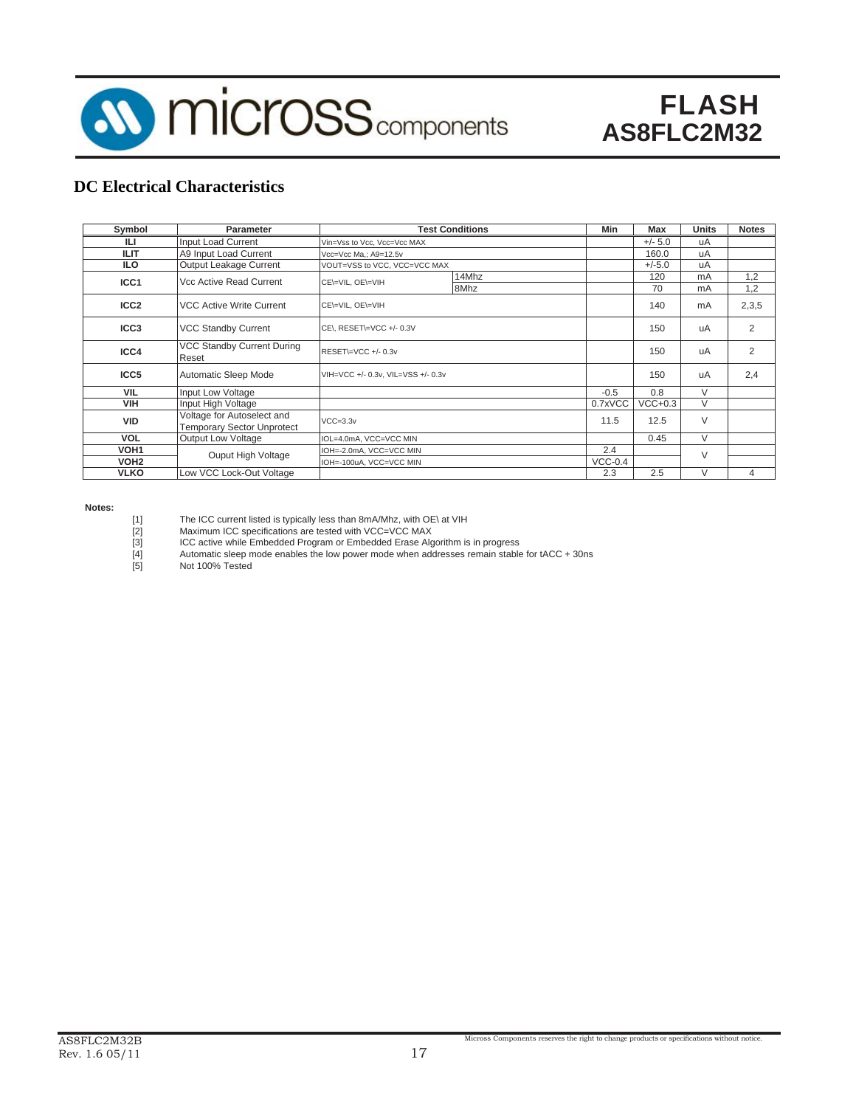

### **DC Electrical Characteristics**

| Symbol           | <b>Parameter</b>                                                |                                    | <b>Test Conditions</b> | Min       | <b>Max</b> | Units      | <b>Notes</b>   |
|------------------|-----------------------------------------------------------------|------------------------------------|------------------------|-----------|------------|------------|----------------|
| IЦ               | Input Load Current                                              | Vin=Vss to Vcc, Vcc=Vcc MAX        |                        |           | $+/- 5.0$  | uA         |                |
| <b>ILIT</b>      | A9 Input Load Current                                           | Vcc=Vcc Ma,; A9=12.5v              |                        |           | 160.0      | uA         |                |
| <b>ILO</b>       | Output Leakage Current                                          | VOUT=VSS to VCC, VCC=VCC MAX       |                        |           | $+/-5.0$   | uA         |                |
| ICC <sub>1</sub> | Vcc Active Read Current                                         | CE\=VIL, OE\=VIH                   |                        | 120<br>70 | mA<br>mA   | 1,2<br>1,2 |                |
| ICC <sub>2</sub> | <b>VCC Active Write Current</b>                                 | CE\=VIL, OE\=VIH                   |                        | 140       | mA         | 2,3,5      |                |
| ICC <sub>3</sub> | <b>VCC Standby Current</b>                                      | CE\, RESET\=VCC +/- 0.3V           |                        |           | 150        | uA         | $\overline{2}$ |
| ICC4             | VCC Standby Current During<br>Reset                             | RESET\=VCC+/-0.3v                  |                        | 150       | uA         | 2          |                |
| ICC5             | <b>Automatic Sleep Mode</b>                                     | VIH=VCC +/- 0.3v, VIL=VSS +/- 0.3v |                        |           | 150        | uA         | 2,4            |
| <b>VIL</b>       | Input Low Voltage                                               |                                    |                        | $-0.5$    | 0.8        | $\vee$     |                |
| <b>VIH</b>       | Input High Voltage                                              |                                    |                        | 0.7xVCC   | $VCC+0.3$  | $\vee$     |                |
| <b>VID</b>       | Voltage for Autoselect and<br><b>Temporary Sector Unprotect</b> | $VCC=3.3v$                         |                        |           | 12.5       | $\vee$     |                |
| <b>VOL</b>       | <b>Output Low Voltage</b>                                       | IOL=4.0mA, VCC=VCC MIN             |                        |           | 0.45       | $\vee$     |                |
| VOH <sub>1</sub> | Ouput High Voltage                                              | IOH=-2.0mA, VCC=VCC MIN            |                        |           |            | $\vee$     |                |
| VOH <sub>2</sub> |                                                                 | IOH=-100uA, VCC=VCC MIN            |                        | $VCC-0.4$ |            |            |                |
| <b>VLKO</b>      | Low VCC Lock-Out Voltage                                        |                                    |                        | 2.3       | 2.5        | V          | 4              |

**Notes:**

The ICC current listed is typically less than 8mA/Mhz, with OE\ at VIH<br>
[2] Maximum ICC specifications are tested with VCC=VCC MAX<br>
[3] ICC active while Embedded Program or Embedded Erase Algorithm is<br>
[4] Automatic sleep

- Maximum ICC specifications are tested with VCC=VCC MAX
- ICC active while Embedded Program or Embedded Erase Algorithm is in progress
- Automatic sleep mode enables the low power mode when addresses remain stable for tACC + 30ns

Not 100% Tested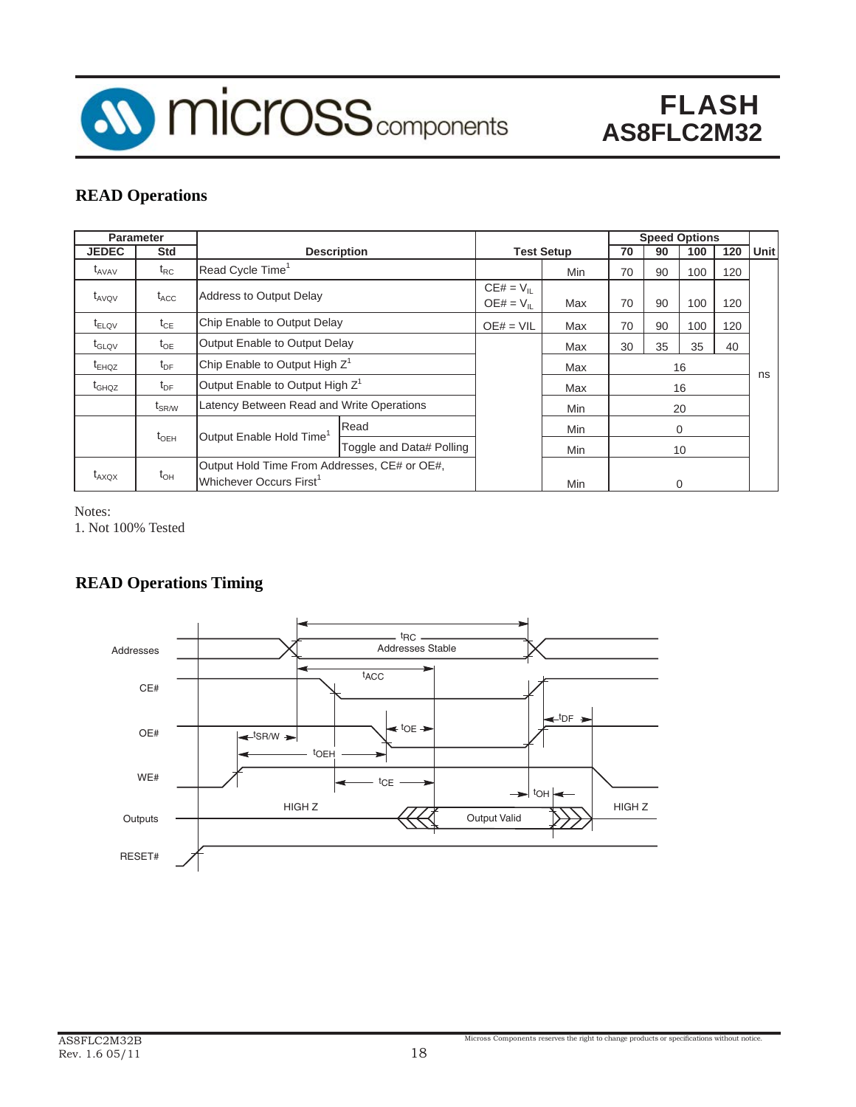

### **READ Operations**

|                                | <b>Parameter</b>    |                                             |                                              |     |                   |    |     | <b>Speed Options</b> |     |             |
|--------------------------------|---------------------|---------------------------------------------|----------------------------------------------|-----|-------------------|----|-----|----------------------|-----|-------------|
| <b>JEDEC</b>                   | <b>Std</b>          |                                             | <b>Description</b>                           |     | <b>Test Setup</b> | 70 | 90  | 100                  | 120 | <b>Unit</b> |
| $\mathfrak{r}_{\mathrm{AVAV}}$ | $t_{RC}$            | Read Cycle Time <sup>1</sup>                |                                              |     |                   | 70 | 90  | 100                  | 120 |             |
| $t_{AVOV}$                     | $t_{\text{ACC}}$    | <b>Address to Output Delay</b>              |                                              |     |                   | 70 | 90  | 100                  | 120 |             |
| $t_{ELOV}$                     | $t_{CE}$            | Chip Enable to Output Delay                 | $OE# = VIL$                                  | Max | 70                | 90 | 100 | 120                  |     |             |
| $t_{\text{GLOV}}$              | $t_{OE}$            | Output Enable to Output Delay               |                                              | Max | 30                | 35 | 35  | 40                   |     |             |
| $t_{EHOZ}$                     | $t_{\sf DF}$        |                                             | Chip Enable to Output High Z <sup>1</sup>    |     |                   |    | 16  |                      |     | ns          |
| $t_{GHOZ}$                     | $t_{\sf DF}$        | Output Enable to Output High Z <sup>1</sup> |                                              |     | Max               | 16 |     |                      |     |             |
|                                | $\rm{t}_{\rm SR/W}$ | Latency Between Read and Write Operations   |                                              |     | Min               |    | 20  |                      |     |             |
|                                | $t_{\text{OEH}}$    | Output Enable Hold Time <sup>1</sup>        | Read                                         |     | Min               | 0  |     |                      |     |             |
|                                |                     |                                             | Toggle and Data# Polling                     |     | Min               |    |     | 10                   |     |             |
| $t_{AXOX}$                     | $t_{\text{OH}}$     | Whichever Occurs First <sup>1</sup>         | Output Hold Time From Addresses, CE# or OE#, |     |                   |    |     | $\Omega$             |     |             |

Notes:

1. Not 100% Tested

### **READ Operations Timing**

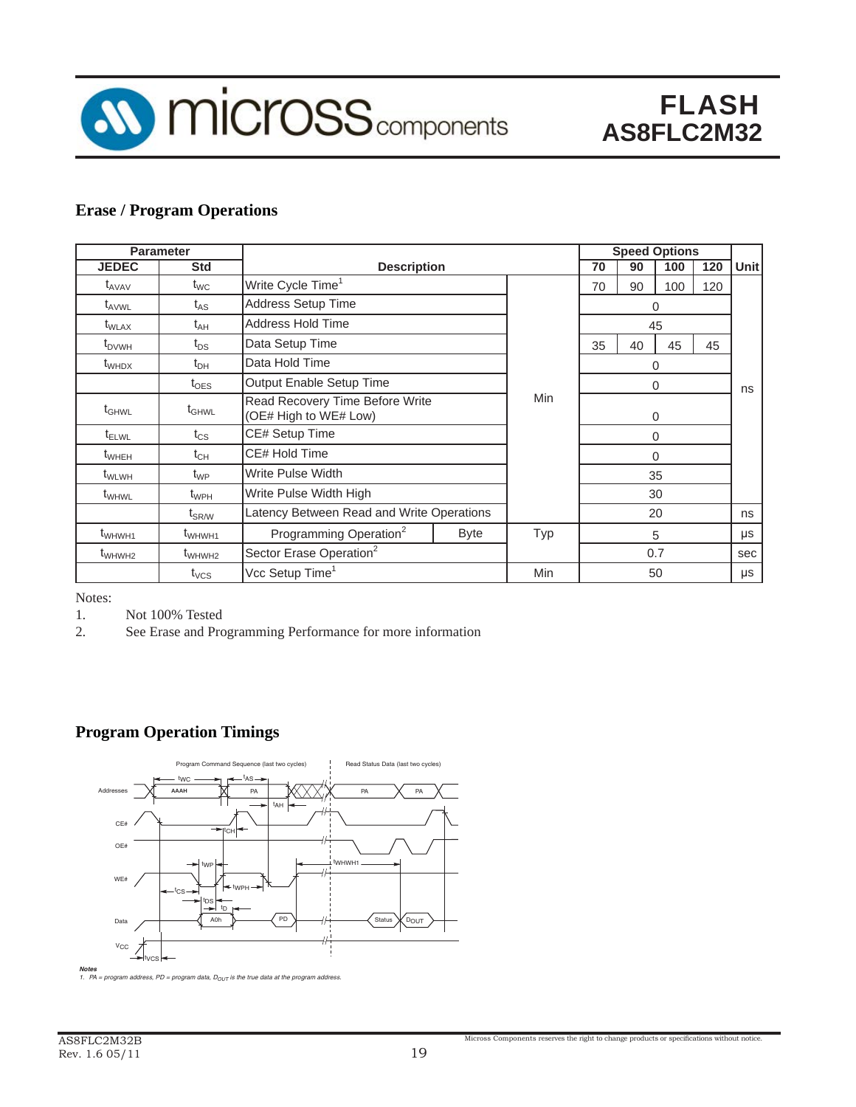

### **Erase / Program Operations**

|                   | <b>Parameter</b>               |                                                          |             |            |          | <b>Speed Options</b> |     |     |       |  |  |  |  |  |
|-------------------|--------------------------------|----------------------------------------------------------|-------------|------------|----------|----------------------|-----|-----|-------|--|--|--|--|--|
| <b>JEDEC</b>      | <b>Std</b>                     | <b>Description</b>                                       |             |            | 70       | 90                   | 100 | 120 | Unitl |  |  |  |  |  |
| $t_{AVAV}$        | $t_{WC}$                       | Write Cycle Time <sup>1</sup>                            |             |            | 70       | 90                   | 100 | 120 |       |  |  |  |  |  |
| $t_{AVWL}$        | $t_{AS}$                       | <b>Address Setup Time</b>                                |             |            | 0        |                      |     |     |       |  |  |  |  |  |
| $t_{\text{WLAX}}$ | $t_{AH}$                       | <b>Address Hold Time</b>                                 |             | 45         |          |                      |     |     |       |  |  |  |  |  |
| $t_{\text{DVWH}}$ | $t_{DS}$                       | Data Setup Time                                          |             |            | 35       | 40                   | 45  | 45  |       |  |  |  |  |  |
| t <sub>WHDX</sub> | $t_{\text{DH}}$                | Data Hold Time                                           |             |            | 0        |                      |     |     |       |  |  |  |  |  |
|                   | $t_{\text{OES}}$               | Output Enable Setup Time                                 | 0           |            |          | ns                   |     |     |       |  |  |  |  |  |
| $t_{\text{GHWL}}$ | $\mathfrak{t}_{\mathsf{GHWL}}$ | Read Recovery Time Before Write<br>(OE# High to WE# Low) | <b>Min</b>  | $\Omega$   |          |                      |     |     |       |  |  |  |  |  |
| $t_{\text{ELWL}}$ | $t_{\rm CS}$                   | CE# Setup Time                                           |             |            | $\Omega$ |                      |     |     |       |  |  |  |  |  |
| $t_{\text{WHEH}}$ | $t_{CH}$                       | CE# Hold Time                                            |             |            | $\Omega$ |                      |     |     |       |  |  |  |  |  |
| $t_{\text{WLWH}}$ | $t_{WP}$                       | <b>Write Pulse Width</b>                                 |             |            | 35       |                      |     |     |       |  |  |  |  |  |
| t <sub>WHWL</sub> | $t_{WPH}$                      | Write Pulse Width High                                   |             |            |          |                      | 30  |     |       |  |  |  |  |  |
|                   | $t_{\rm SR/W}$                 | Latency Between Read and Write Operations                |             |            |          |                      | 20  |     | ns    |  |  |  |  |  |
| $t_{WHWH1}$       | t <sub>WHWH1</sub>             | Programming Operation <sup>2</sup>                       | <b>Byte</b> | Typ        | 5        |                      |     | μs  |       |  |  |  |  |  |
| $t_{WHWH2}$       | $t_{WHWH2}$                    | Sector Erase Operation <sup>2</sup>                      |             |            | 0.7      |                      |     | sec |       |  |  |  |  |  |
|                   | $t_{VCS}$                      | Vcc Setup Time <sup>1</sup>                              |             | <b>Min</b> |          |                      | 50  |     | μs    |  |  |  |  |  |

Notes:

1. Not 100% Tested

2. See Erase and Programming Performance for more information

### **Program Operation Timings**



**Notes**<br>1. PA = program address, PD = program data, D<sub>OUT</sub> is the true data at the program address.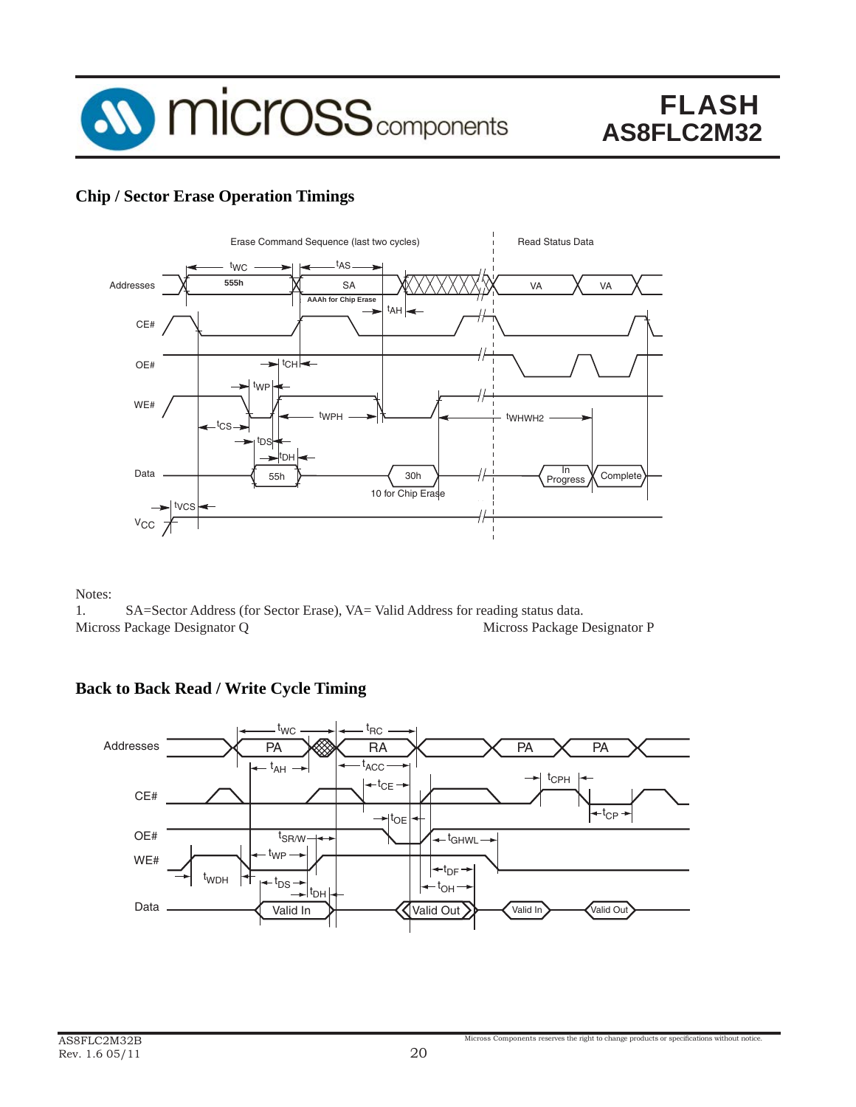

### **Chip / Sector Erase Operation Timings**



Notes:

1. SA=Sector Address (for Sector Erase), VA= Valid Address for reading status data. Micross Package Designator Q Micross Package Designator P

### **Back to Back Read / Write Cycle Timing**

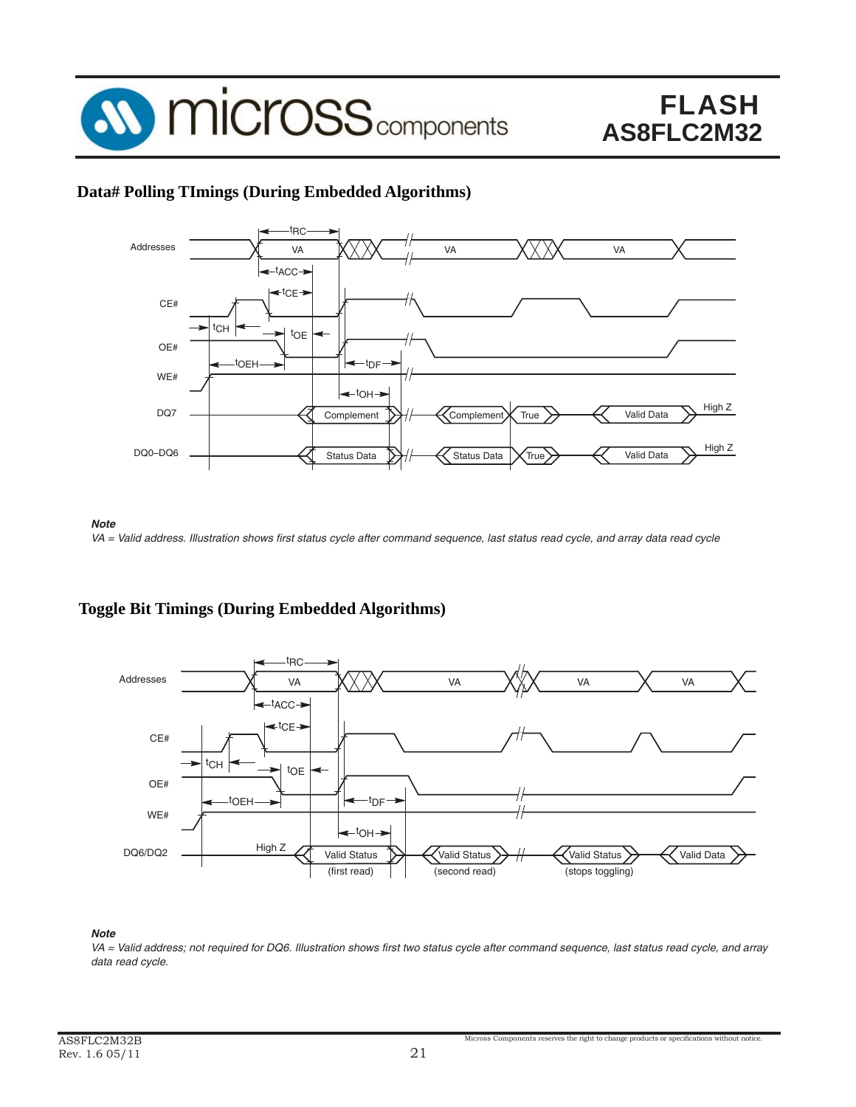

### **Data# Polling TImings (During Embedded Algorithms)**





### **Toggle Bit Timings (During Embedded Algorithms)**



#### *Note*

VA = Valid address; not required for DQ6. Illustration shows first two status cycle after command sequence, last status read cycle, and array data read cycle.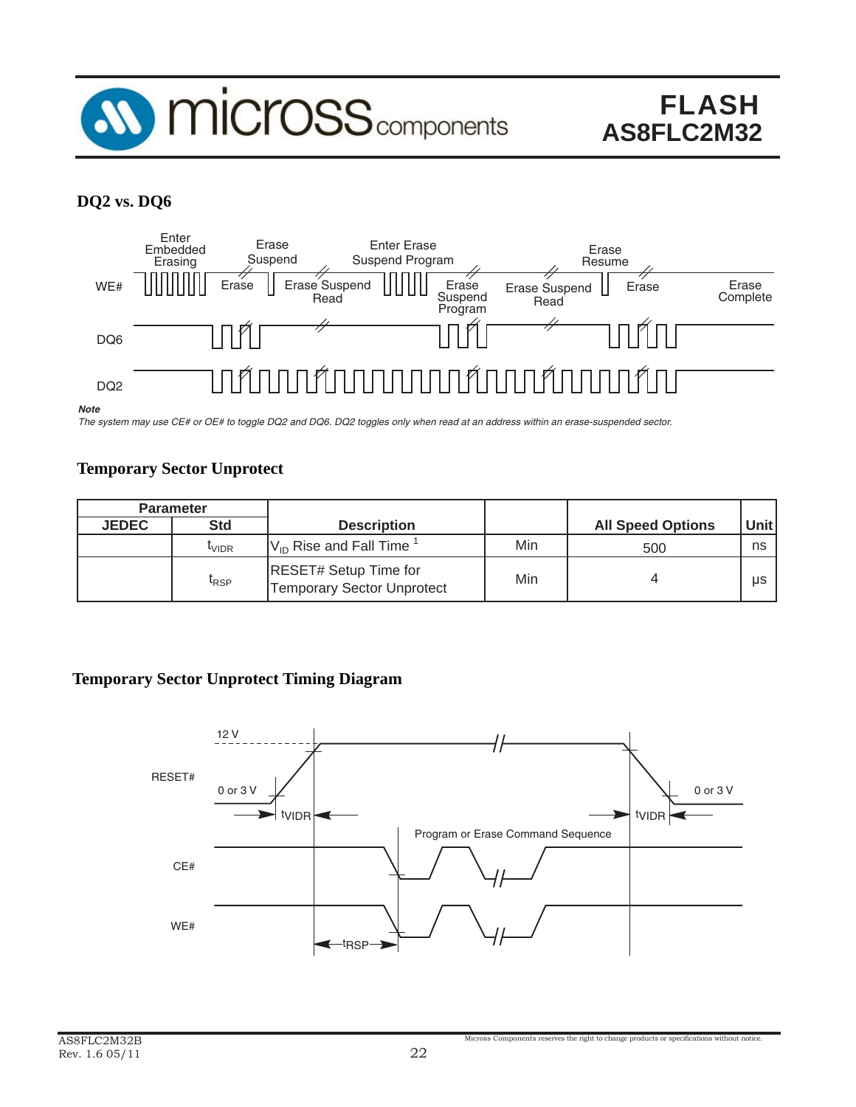

### **DQ2 vs. DQ6**



The system may use CE# or OE# to toggle DQ2 and DQ6. DQ2 toggles only when read at an address within an erase-suspended sector.

### **Temporary Sector Unprotect**

|              | <b>Parameter</b>  |                                                                   |                          |       |    |
|--------------|-------------------|-------------------------------------------------------------------|--------------------------|-------|----|
| <b>JEDEC</b> | <b>Std</b>        | <b>Description</b>                                                | <b>All Speed Options</b> | Unitl |    |
|              | <sup>l</sup> vidr | $ V_{\text{ID}}$ Rise and Fall Time $^1$                          | Min                      | 500   | ns |
|              | <sup>I</sup> RSP  | <b>RESET# Setup Time for</b><br><b>Temporary Sector Unprotect</b> | Min                      |       | μs |

### **Temporary Sector Unprotect Timing Diagram**

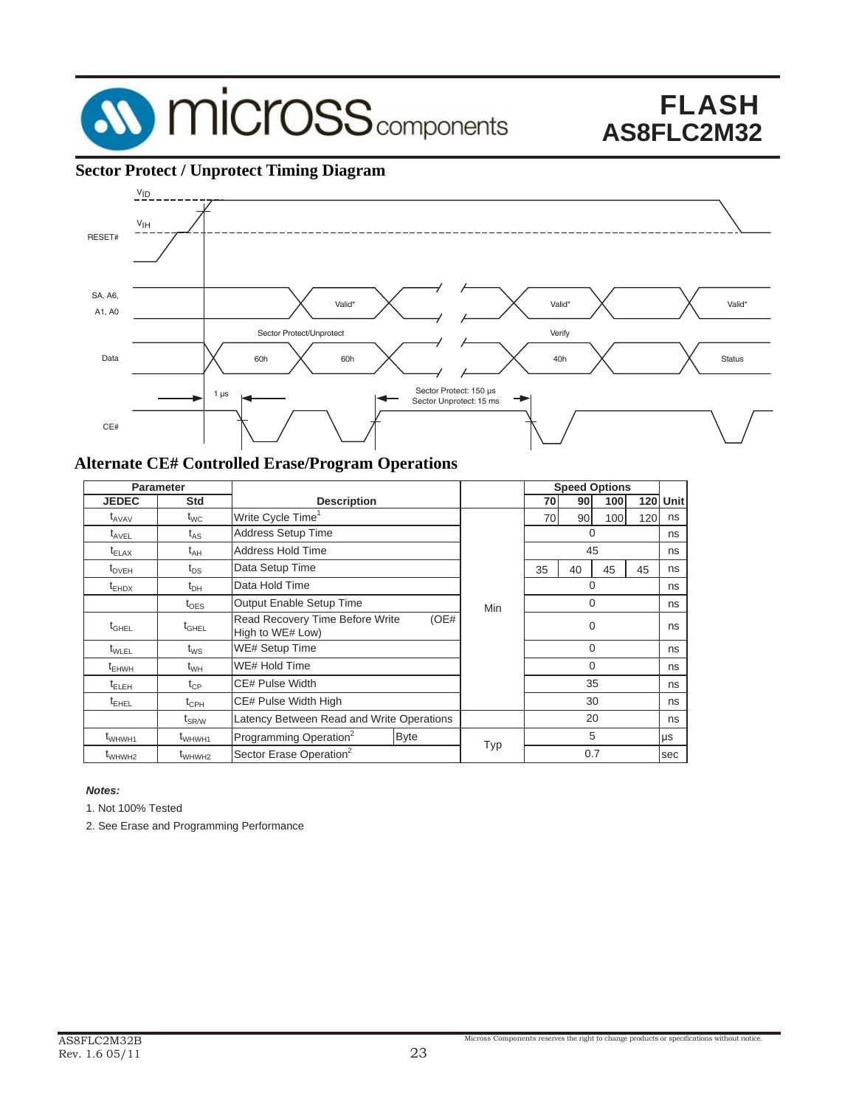

### **Sector Protect / Unprotect Timing Diagram**



#### **Alternate CE# Controlled Erase/Program Operations**

| <b>Parameter</b>   |                              |                                                             |            |            |     | <b>Speed Options</b> |     |     |      |
|--------------------|------------------------------|-------------------------------------------------------------|------------|------------|-----|----------------------|-----|-----|------|
| JEDEC              | Std                          | <b>Description</b>                                          |            |            | 70  | 90                   | 100 | 120 | Unit |
| $t_{AVAV}$         | $\mathfrak{t}_{\text{WC}}$   | Write Cycle Time <sup>1</sup>                               |            | 70         | 90  | 100                  | 120 | ns  |      |
| $t_{\text{AVEL}}$  | $\mathfrak{t}_{\mathsf{AS}}$ | <b>Address Setup Time</b>                                   |            |            | 0   |                      |     |     | ns   |
| $t_{\text{ELAX}}$  | $t_{AH}$                     | Address Hold Time                                           |            |            | 45  |                      |     | ns  |      |
| $t_{DVEH}$         | $t_{DS}$                     | Data Setup Time                                             |            |            | 35  | 40                   | 45  | 45  | ns   |
| $t_{EHDX}$         | t <sub>DH</sub>              | Data Hold Time                                              |            |            | 0   |                      |     | ns  |      |
|                    | $t_{\sf OES}$                | Output Enable Setup Time                                    | <b>Min</b> | 0          |     |                      | ns  |     |      |
| $t_{\text{GHEL}}$  | $t_{\scriptstyle\rm GHEL}$   | Read Recovery Time Before Write<br>(OE#<br>High to WE# Low) |            |            |     | $\Omega$             |     |     | ns   |
| $t_{\text{WLEL}}$  | $t_{WS}$                     | <b>WE# Setup Time</b>                                       |            |            |     | $\Omega$             |     |     | ns   |
| $t_{EHWH}$         | $t_{WH}$                     | WE# Hold Time                                               |            |            |     | $\Omega$             |     |     | ns   |
| $t_{\text{ELEH}}$  | $t_{\mathsf{CP}}$            | CE# Pulse Width                                             |            |            |     | 35                   |     |     | ns   |
| $t_{EHEL}$         | $t_{\mathsf{CPH}}$           | CE# Pulse Width High                                        |            |            | 30  |                      |     | ns  |      |
|                    | $\mathsf{t}_{\mathsf{SR/W}}$ | Latency Between Read and Write Operations                   |            |            |     | 20                   |     |     | ns   |
| $t_{WHWH1}$        | t <sub>WHWH1</sub>           | Programming Operation <sup>2</sup><br><b>Byte</b>           |            | <b>Typ</b> |     | 5                    |     |     | μs   |
| t <sub>WHWH2</sub> | t <sub>WHWH2</sub>           | Sector Erase Operation <sup>2</sup>                         |            |            | 0.7 |                      |     | sec |      |

#### *Notes:*

1. Not 100% Tested

2. See Erase and Programming Performance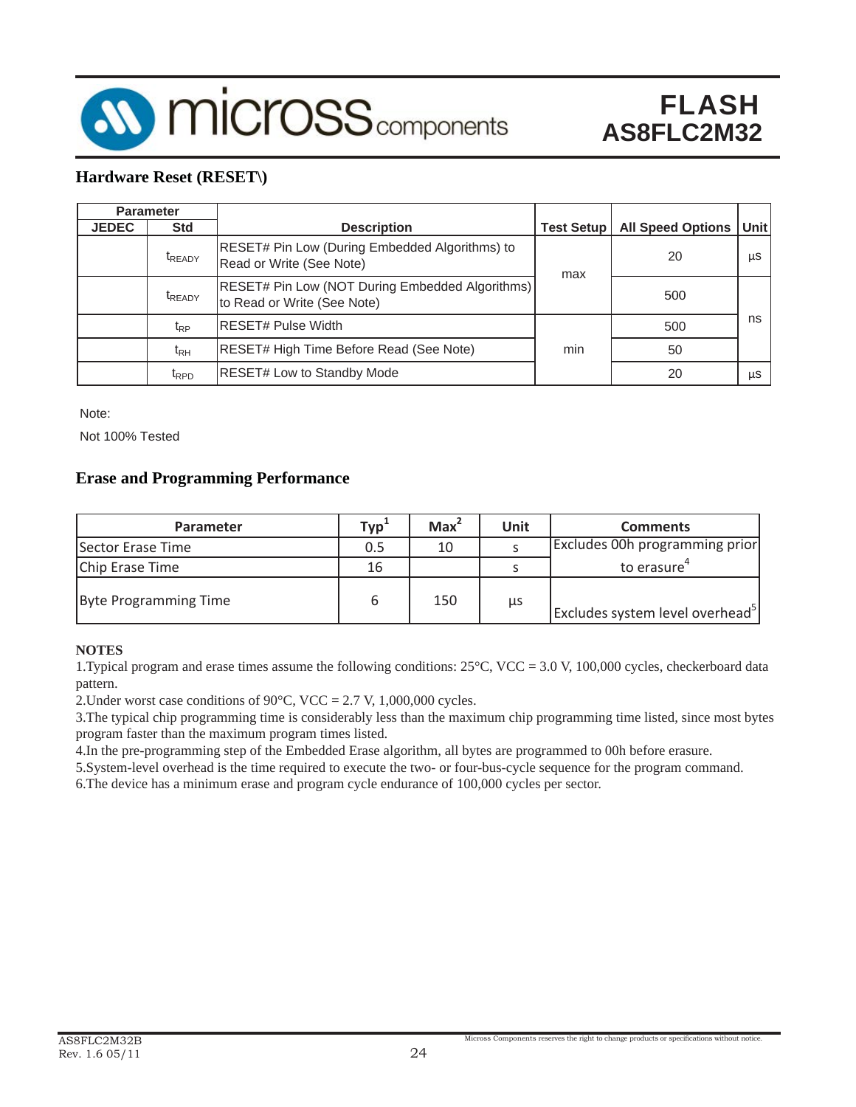

### **Hardware Reset (RESET\)**

| <b>Parameter</b> |                    |                                                                                |                   |                          |       |
|------------------|--------------------|--------------------------------------------------------------------------------|-------------------|--------------------------|-------|
| <b>JEDEC</b>     | <b>Std</b>         | <b>Description</b>                                                             | <b>Test Setup</b> | <b>All Speed Options</b> | Unitl |
|                  | t <sub>READY</sub> | RESET# Pin Low (During Embedded Algorithms) to<br>Read or Write (See Note)     | max               | 20                       | μS    |
|                  | <b>t</b> READY     | RESET# Pin Low (NOT During Embedded Algorithms)<br>to Read or Write (See Note) |                   | 500                      |       |
|                  | $t_{RP}$           | <b>RESET# Pulse Width</b>                                                      |                   | 500                      | ns    |
|                  | $t_{RH}$           | RESET# High Time Before Read (See Note)                                        | min               | 50                       |       |
|                  | $t_{\text{RPD}}$   | <b>RESET# Low to Standby Mode</b>                                              |                   | 20                       | μS    |

Note:

Not 100% Tested

### **Erase and Programming Performance**

| <b>Parameter</b>      | Typ <sup>1</sup> | Max <sup>2</sup> | <b>Unit</b> | <b>Comments</b>                             |
|-----------------------|------------------|------------------|-------------|---------------------------------------------|
| Sector Erase Time     | 0.5              | 10               |             | Excludes 00h programming prior              |
| Chip Erase Time       | 16               |                  |             | to erasure                                  |
| Byte Programming Time | ь                | 150              | μs          | Excludes system level overhead <sup>3</sup> |

#### **NOTES**

1.Typical program and erase times assume the following conditions: 25°C, VCC = 3.0 V, 100,000 cycles, checkerboard data pattern.

2. Under worst case conditions of 90 $\degree$ C, VCC = 2.7 V, 1,000,000 cycles.

3.The typical chip programming time is considerably less than the maximum chip programming time listed, since most bytes program faster than the maximum program times listed.

4.In the pre-programming step of the Embedded Erase algorithm, all bytes are programmed to 00h before erasure.

5.System-level overhead is the time required to execute the two- or four-bus-cycle sequence for the program command.

6.The device has a minimum erase and program cycle endurance of 100,000 cycles per sector.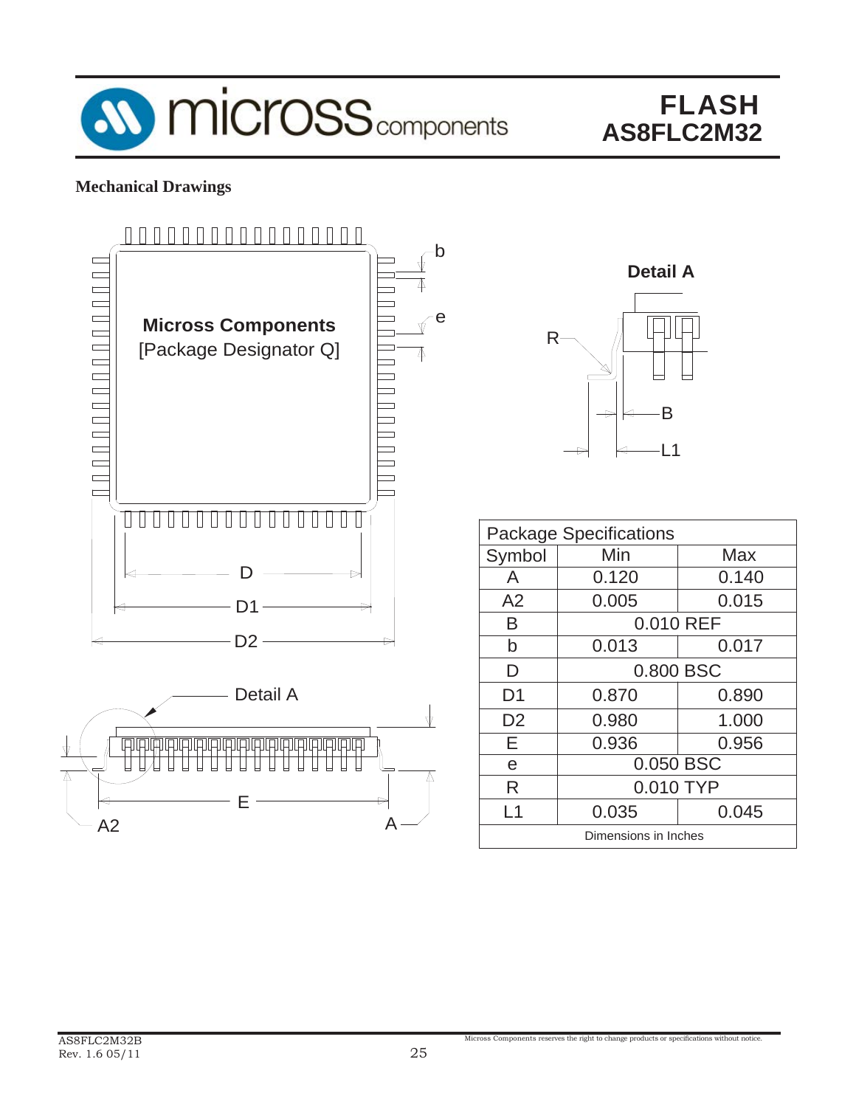

### **Mechanical Drawings**





| <b>Package Specifications</b> |           |           |  |  |
|-------------------------------|-----------|-----------|--|--|
| Symbol                        | Min       | Max       |  |  |
| A                             | 0.120     | 0.140     |  |  |
| A2                            | 0.005     | 0.015     |  |  |
| B                             |           | 0.010 REF |  |  |
| b                             | 0.013     | 0.017     |  |  |
| D                             | 0.800 BSC |           |  |  |
| D <sub>1</sub>                | 0.870     | 0.890     |  |  |
| D <sub>2</sub>                | 0.980     | 1.000     |  |  |
| F                             | 0.936     | 0.956     |  |  |
| e                             | 0.050 BSC |           |  |  |
| R                             | 0.010 TYP |           |  |  |
| $\overline{1}$                | 0.035     | 0.045     |  |  |
| Dimensions in Inches          |           |           |  |  |

Micross Components reserves the right to change products or specifications without notice.

A2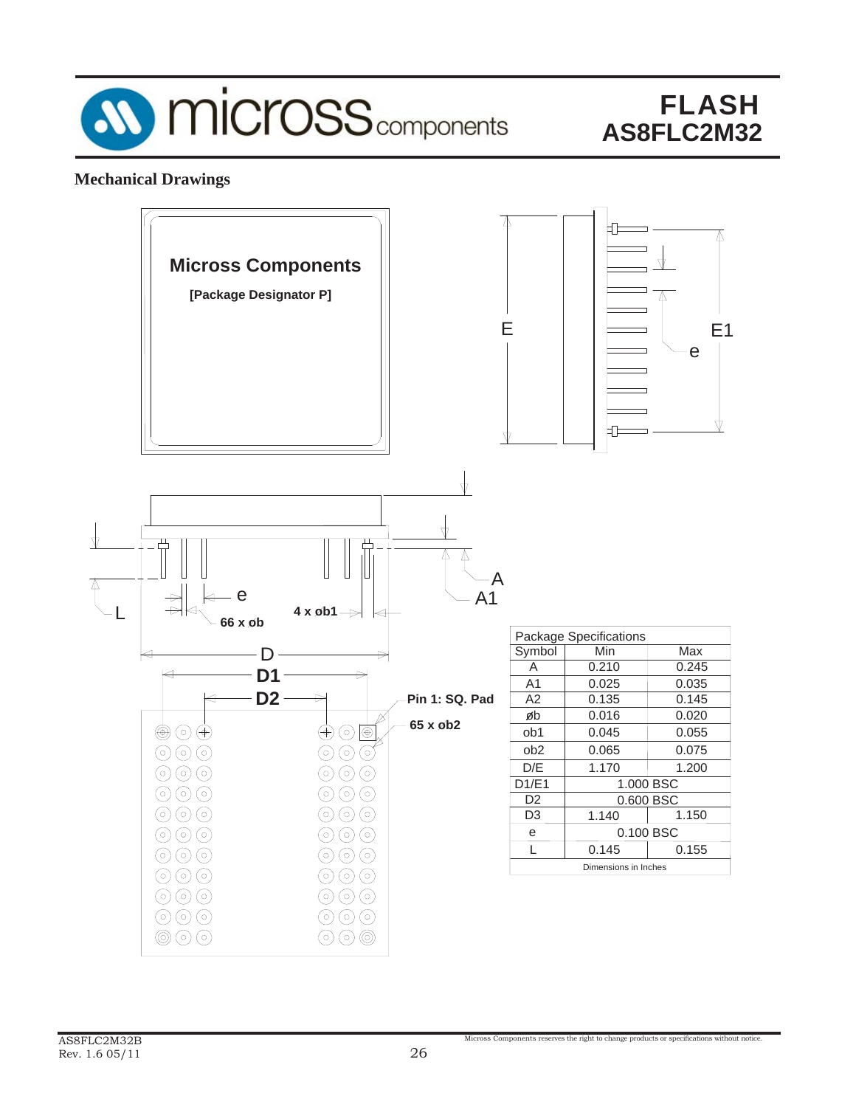

### **Mechanical Drawings**

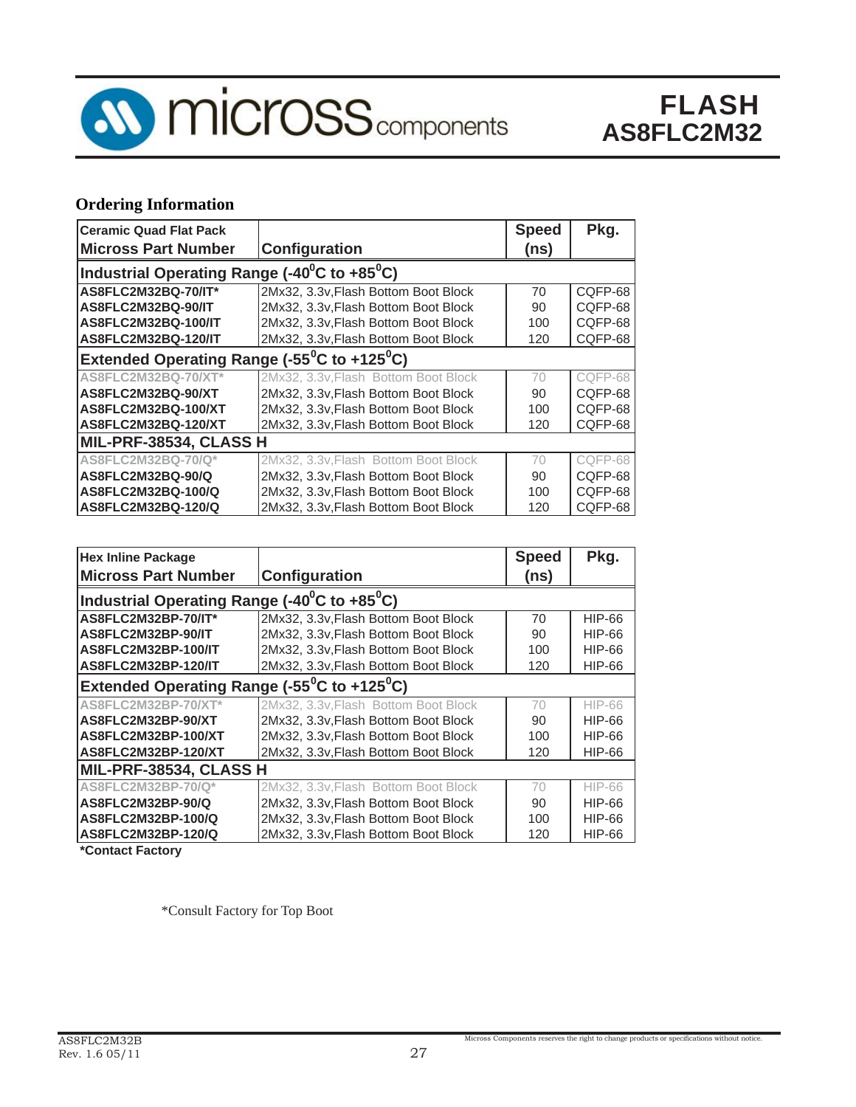

### **Ordering Information**

| <b>Ceramic Quad Flat Pack</b> |                                                                       | <b>Speed</b> | Pkg.    |  |  |  |
|-------------------------------|-----------------------------------------------------------------------|--------------|---------|--|--|--|
| <b>Micross Part Number</b>    | Configuration                                                         | (ns)         |         |  |  |  |
|                               | Industrial Operating Range (-40 <sup>0</sup> C to +85 <sup>0</sup> C) |              |         |  |  |  |
| AS8FLC2M32BQ-70/IT*           | 2Mx32, 3.3v, Flash Bottom Boot Block                                  | 70           | CQFP-68 |  |  |  |
| AS8FLC2M32BQ-90/IT            | 2Mx32, 3.3v, Flash Bottom Boot Block                                  | 90           | CQFP-68 |  |  |  |
| AS8FLC2M32BQ-100/IT           | 2Mx32, 3.3v, Flash Bottom Boot Block                                  | 100          | CQFP-68 |  |  |  |
| AS8FLC2M32BQ-120/IT           | 2Mx32, 3.3v, Flash Bottom Boot Block                                  | 120          | CQFP-68 |  |  |  |
|                               | Extended Operating Range (-55 <sup>°</sup> C to +125 <sup>°</sup> C)  |              |         |  |  |  |
| AS8FLC2M32BQ-70/XT*           | 2Mx32, 3.3v, Flash Bottom Boot Block                                  | 70           | COFP-68 |  |  |  |
| AS8FLC2M32BQ-90/XT            | 2Mx32, 3.3v, Flash Bottom Boot Block                                  | 90           | CQFP-68 |  |  |  |
| AS8FLC2M32BQ-100/XT           | 2Mx32, 3.3v, Flash Bottom Boot Block                                  | 100          | CQFP-68 |  |  |  |
| AS8FLC2M32BQ-120/XT           | 2Mx32, 3.3v, Flash Bottom Boot Block                                  | 120          | CQFP-68 |  |  |  |
| MIL-PRF-38534, CLASS H        |                                                                       |              |         |  |  |  |
| AS8FLC2M32BQ-70/Q*            | 2Mx32, 3.3v, Flash Bottom Boot Block                                  | 70           | COFP-68 |  |  |  |
| AS8FLC2M32BQ-90/Q             | 2Mx32, 3.3v, Flash Bottom Boot Block                                  | 90           | COFP-68 |  |  |  |
| AS8FLC2M32BQ-100/Q            | 2Mx32, 3.3v, Flash Bottom Boot Block                                  | 100          | CQFP-68 |  |  |  |
| AS8FLC2M32BQ-120/Q            | 2Mx32, 3.3v, Flash Bottom Boot Block                                  | 120          | CQFP-68 |  |  |  |

| <b>Hex Inline Package</b>                                             |                                      | <b>Speed</b> | Pkg.          |  |  |  |
|-----------------------------------------------------------------------|--------------------------------------|--------------|---------------|--|--|--|
| <b>Micross Part Number</b>                                            | Configuration                        | (ns)         |               |  |  |  |
| Industrial Operating Range $(-40^{\circ}$ C to $+85^{\circ}$ C)       |                                      |              |               |  |  |  |
| AS8FLC2M32BP-70/IT*                                                   | 2Mx32, 3.3v, Flash Bottom Boot Block | 70           | HIP-66        |  |  |  |
| AS8FLC2M32BP-90/IT                                                    | 2Mx32, 3.3v, Flash Bottom Boot Block | 90           | HIP-66        |  |  |  |
| AS8FLC2M32BP-100/IT                                                   | 2Mx32, 3.3v, Flash Bottom Boot Block | 100          | HIP-66        |  |  |  |
| AS8FLC2M32BP-120/IT                                                   | 2Mx32, 3.3v, Flash Bottom Boot Block | 120          | <b>HIP-66</b> |  |  |  |
| Extended Operating Range (-55 $\mathrm{^0C}$ to +125 $\mathrm{^0C}$ ) |                                      |              |               |  |  |  |
| AS8FLC2M32BP-70/XT*                                                   | 2Mx32, 3.3v, Flash Bottom Boot Block | 70           | <b>HIP-66</b> |  |  |  |
| AS8FLC2M32BP-90/XT                                                    | 2Mx32, 3.3v, Flash Bottom Boot Block | 90           | HIP-66        |  |  |  |
| AS8FLC2M32BP-100/XT                                                   | 2Mx32, 3.3v, Flash Bottom Boot Block | 100          | HIP-66        |  |  |  |
| AS8FLC2M32BP-120/XT                                                   | 2Mx32, 3.3v, Flash Bottom Boot Block | 120          | <b>HIP-66</b> |  |  |  |
| MIL-PRF-38534, CLASS H                                                |                                      |              |               |  |  |  |
| AS8FLC2M32BP-70/Q*                                                    | 2Mx32, 3.3v, Flash Bottom Boot Block | 70           | <b>HIP-66</b> |  |  |  |
| AS8FLC2M32BP-90/Q                                                     | 2Mx32, 3.3v, Flash Bottom Boot Block | 90           | HIP-66        |  |  |  |
| AS8FLC2M32BP-100/Q                                                    | 2Mx32, 3.3v, Flash Bottom Boot Block | 100          | HIP-66        |  |  |  |
| AS8FLC2M32BP-120/Q                                                    | 2Mx32, 3.3v, Flash Bottom Boot Block | 120          | HIP-66        |  |  |  |

**\*Contact Factory**

\*Consult Factory for Top Boot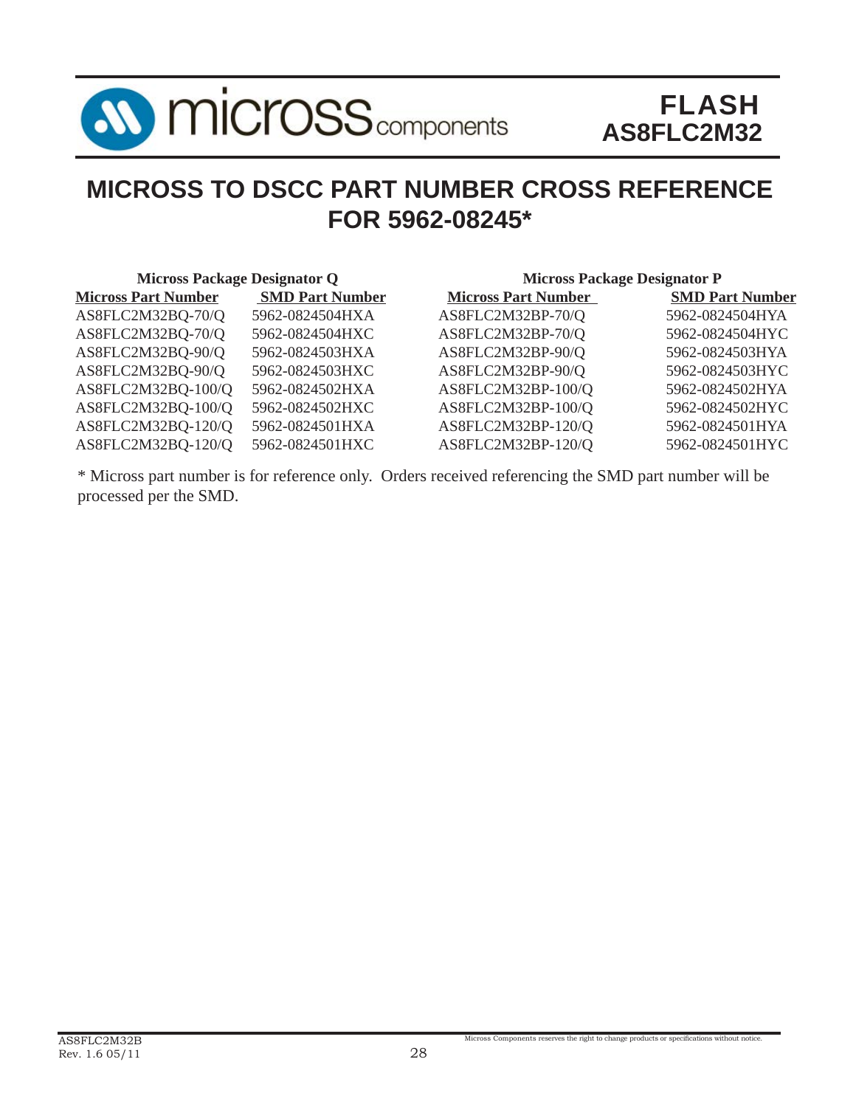

### **MICROSS TO DSCC PART NUMBER CROSS REFERENCE FOR 5962-08245\***

| <b>Micross Package Designator Q</b> |                        | <b>Micross Package Designator P</b> |                        |  |  |
|-------------------------------------|------------------------|-------------------------------------|------------------------|--|--|
| <b>Micross Part Number</b>          | <b>SMD Part Number</b> | <b>Micross Part Number</b>          | <b>SMD Part Number</b> |  |  |
| AS8FLC2M32BQ-70/Q                   | 5962-0824504HXA        | AS8FLC2M32BP-70/Q                   | 5962-0824504HYA        |  |  |
| AS8FLC2M32BQ-70/Q                   | 5962-0824504HXC        | AS8FLC2M32BP-70/Q                   | 5962-0824504HYC        |  |  |
| AS8FLC2M32BQ-90/Q                   | 5962-0824503HXA        | AS8FLC2M32BP-90/Q                   | 5962-0824503HYA        |  |  |
| AS8FLC2M32BQ-90/Q                   | 5962-0824503HXC        | AS8FLC2M32BP-90/Q                   | 5962-0824503HYC        |  |  |
| AS8FLC2M32BQ-100/Q                  | 5962-0824502HXA        | AS8FLC2M32BP-100/Q                  | 5962-0824502HYA        |  |  |
| AS8FLC2M32BQ-100/Q                  | 5962-0824502HXC        | AS8FLC2M32BP-100/Q                  | 5962-0824502HYC        |  |  |
| AS8FLC2M32BQ-120/Q                  | 5962-0824501HXA        | AS8FLC2M32BP-120/Q                  | 5962-0824501HYA        |  |  |
| AS8FLC2M32BQ-120/Q                  | 5962-0824501HXC        | AS8FLC2M32BP-120/Q                  | 5962-0824501HYC        |  |  |

\* Micross part number is for reference only. Orders received referencing the SMD part number will be processed per the SMD.